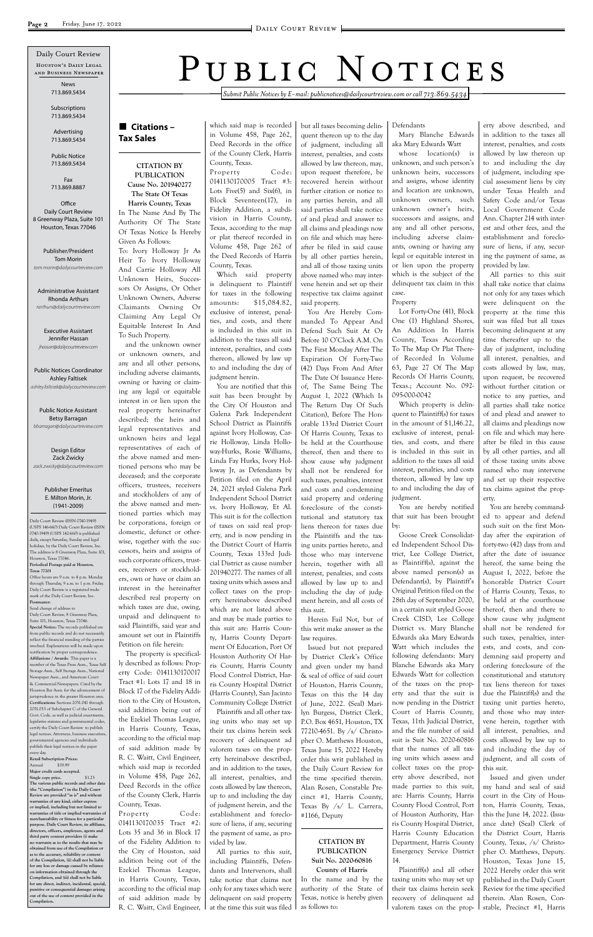*Submit Public Notices by E-mail: publicnotices@dailycourtreview.com or call 713.869.5434*

n **Citations – Tax Sales**

**CITATION BY PUBLICATION Cause No. 201940277 The State Of Texas Harris County, Texas** In The Name And By The Authority Of The State Of Texas Notice Is Hereby

Given As Follows:

To: Ivory Holloway Jr As Heir To Ivory Holloway And Carrie Holloway All Unknown Heirs, Successors Or Assigns, Or Other Unknown Owners, Adverse Claimants Owning Or Claiming Any Legal Or Equitable Interest In And

To Such Property.

and the unknown owner or unknown owners, and any and all other persons, including adverse claimants, owning or having or claiming any legal or equitable interest in or lien upon the real property hereinafter described; the heirs and legal representatives and unknown heirs and legal representatives of each of the above named and mentioned persons who may be deceased; and the corporate officers, trustees, receivers and stockholders of any of the above named and mentioned parties which may be corporations, foreign or domestic, defunct or otherwise, together with the successors, heirs and assigns of such corporate officers, trustees, receivers or stockholders, own or have or claim an interest in the hereinafter described real property on which taxes are due, owing, unpaid and delinquent to said Plaintiffs, said year and amount set out in Plaintiffs Petition on file herein: The property is specifically described as follows: Property Code: 0141130170017 Tract #1: Lots 17 and 18 in

Which said property is delinquent to Plaintiff for taxes in the following amounts: \$15,084.82, exclusive of interest, penalties, and costs, and there is included in this suit in addition to the taxes all said interest, penalties, and costs thereon, allowed by law up to and including the day of judgment herein.

Block 17 of the Fidelity Addition to the City of Houston, said addition being out of the Ezekiel Thomas League, in Harris County, Texas, according to the official map of said addition made by R. C. Waitt, Civil Engineer, which said map is recorded in Volume 458, Page 262, Deed Records in the office of the County Clerk, Harris County, Texas. Property Code: 0141130170035 Tract #2: Lots 35 and 36 in Block 17 of the Fidelity Addition to the City of Houston, said addition being out of the Ezekiel Thomas League, in Harris County, Texas, according to the official map of said addition made by R. C. Waitt, Civil Engineer,

which said map is recorded in Volume 458, Page 262, Deed Records in the office of the County Clerk, Harris County, Texas. Property Code: 0141130170005 Tract #3: Lots Five(5) and Six(6), in Block Seventeen(17), in Fidelity Addition, a subdivision in Harris County, Texas, according to the map or plat thereof recorded in Volume 458, Page 262 of the Deed Records of Harris County, Texas.

You are notified that this suit has been brought by the City Of Houston and Galena Park Independent School District as Plaintiffs against Ivory Holloway, Carrie Holloway, Linda Holloway-Hurks, Rosie Williams, Linda Fay Hurks, Ivory Holloway Jr, as Defendants by Petition filed on the April 24, 2021 styled Galena Park Independent School District vs. Ivory Holloway, Et Al. This suit is for the collection of taxes on said real property, and is now pending in the District Court of Harris County, Texas 133rd Judicial District as cause number 201940277. The names of all taxing units which assess and collect taxes on the property hereinabove described which are not listed above and may be made parties to this suit are: Harris County, Harris County Department Of Education, Port Of Houston Authority Of Harris County, Harris County Flood Control District, Harris County Hospital District

whose location(s) is unknown, and such person's unknown heirs, successors and assigns, whose identity and location are unknown, unknown owners, such unknown owner's heirs, successors and assigns, and any and all other persons, including adverse claimants, owning or having any legal or equitable interest in or lien upon the property which is the subject of the delinquent tax claim in this case.

(Harris County), San Jacinto Community College District Plaintiffs and all other taxing units who may set up their tax claims herein seek recovery of delinquent ad valorem taxes on the property hereinabove described, and in addition to the taxes, all interest, penalties, and costs allowed by law thereon, up to and including the day of judgment herein, and the establishment and foreclosure of liens, if any, securing the payment of same, as provided by law.

All parties to this suit, including Plaintiffs, Defendants and Intervenors, shall take notice that claims not only for any taxes which were delinquent on said property at the time this suit was filed but all taxes becoming delinquent thereon up to the day of judgment, including all interest, penalties, and costs allowed by law thereon, may, upon request therefore, be recovered herein without further citation or notice to any parties herein, and all said parties shall take notice of and plead and answer to all claims and pleadings now on file and which may hereafter be filed in said cause by all other parties herein, and all of those taxing units above named who may intervene herein and set up their respective tax claims against said property.

You Are Hereby Commanded To Appear And Defend Such Suit At Or Before 10 O'Clock A.M. On The First Monday After The Expiration Of Forty-Two (42) Days From And After The Date Of Issuance Hereof, The Same Being The August 1, 2022 (Which Is The Return Day Of Such Citation), Before The Honorable 133rd District Court Of Harris County, Texas to be held at the Courthouse thereof, then and there to show cause why judgment shall not be rendered for such taxes, penalties, interest and costs and condemning said property and ordering foreclosure of the constitutional and statutory tax liens thereon for taxes due the Plaintiffs and the taxing units parties hereto, and those who may intervene herein, together with all interest, penalties, and costs allowed by law up to and including the day of judgment herein, and all costs of this suit.

Herein Fail Not, but of this writ make answer as the law requires.

Issued but not prepared by District Clerk's Office and given under my hand & seal of office of said court of Houston, Harris County, Texas on this the 14 day of June, 2022. (Seal) Marilyn Burgess, District Clerk, P.O. Box 4651, Houston, TX 77210-4651. By /s/ Christopher O. Matthews Houston, Texas June 15, 2022 Hereby order this writ published in the Daily Court Review for the time specified therein. Alan Rosen, Constable Precinct #1, Harris County, Texas By /s/ L. Carrera, #1166, Deputy

**CITATION BY PUBLICATION Suit No. 2020-60816 County of Harris** In the name and by the authority of the State of

Texas, notice is hereby given

as follows to:

Defendants

Mary Blanche Edwards aka Mary Edwards Watt

**Office** Daily Court Review 8 Greenway Plaza, Suite 101 Houston, Texas 77046

#### Property

Lot Forty-One (41), Block One (1) Highland Shores, An Addition In Harris County, Texas According To The Map Or Plat Thereof Recorded In Volume 63, Page 27 Of The Map Records Of Harris County, Texas.; Account No. 092- 095-000-0042

Which property is delinquent to Plaintiff(s) for taxes in the amount of \$1,146.22, exclusive of interest, penalties, and costs, and there is included in this suit in addition to the taxes all said interest, penalties, and costs thereon, allowed by law up to and including the day of judgment.

You are hereby notified that suit has been brought by:

Goose Creek Consolidated Independent School District, Lee College District, as Plaintiff(s), against the above named person(s) as Defendant(s), by Plaintiff's Original Petition filed on the 28th day of September 2020, in a certain suit styled Goose Creek CISD, Lee College District vs. Mary Blanche Edwards aka Mary Edwards Watt which includes the following defendants: Mary Blanche Edwards aka Mary Edwards Watt for collection of the taxes on the property and that the suit is now pending in the District Court of Harris County, Texas, 11th Judicial District, and the file number of said suit is Suit No. 2020-60816 that the names of all taxing units which assess and collect taxes on the property above described, not made parties to this suit, are: Harris County, Harris County Flood Control, Port of Houston Authority, Harris County Hospital District, Harris County Education Department, Harris County Emergency Service District

14. Plaintiff(s) and all other taxing units who may set up their tax claims herein seek recovery of delinquent ad valorem taxes on the prop-

erty above described, and in addition to the taxes all interest, penalties, and costs allowed by law thereon up to and including the day of judgment, including special assessment liens by city under Texas Health and Safety Code and/or Texas Local Government Code Ann. Chapter 214 with interest and other fees, and the establishment and foreclosure of liens, if any, securing the payment of same, as provided by law.

All parties to this suit shall take notice that claims not only for any taxes which were delinquent on the property at the time this suit was filed but all taxes becoming delinquent at any time thereafter up to the day of judgment, including all interest, penalties, and costs allowed by law, may, upon request, be recovered without further citation or notice to any parties, and all parties shall take notice of and plead and answer to all claims and pleadings now on file and which may hereafter be filed in this cause by all other parties, and all of those taxing units above named who may intervene and set up their respective tax claims against the property.

You are hereby commanded to appear and defend such suit on the first Monday after the expiration of forty-two (42) days from and after the date of issuance hereof, the same being the August 1, 2022, before the honorable District Court of Harris County, Texas, to be held at the courthouse thereof, then and there to show cause why judgment shall not be rendered for such taxes, penalties, interests, and costs, and condemning said property and ordering foreclosure of the constitutional and statutory tax liens thereon for taxes due the Plaintiff(s) and the taxing unit parties hereto, and those who may intervene herein, together with all interest, penalties, and costs allowed by law up to and including the day of judgment, and all costs of this suit. Issued and given under my hand and seal of said court in the City of Houston, Harris County, Texas, this the June 14, 2022. (Issuance date) (Seal) Clerk of the District Court, Harris County, Texas, /s/ Christopher O. Matthews, Deputy. Houston, Texas June 15, 2022 Hereby order this writ published in the Daily Court Review for the time specified therein. Alan Rosen, Constable, Precinct #1, Harris

Daily Court Review (ISSN 0740-1949) (USPS 146-660) Daily Court Review (ISSN 0740-1949) (USPS 142-660) is published daily, except Saturday, Sunday and legal holidays, by the Daily Court Review, Inc. The address is 8 Greenway Plaza, Suite 101, Houston, Texas 77046. **Periodical Postage paid at Houston, Texas 77201** Office hours are 9 a.m. to 4 p.m. Monday

through Thursday, 9 a.m. to 1 p.m. Friday. Daily Court Review is a registered trademark of the Daily Court Review, Inc. **Postmaster:**

Houston's Daily Legal and Business Newspaper Daily Court Review

Send change of address to Daily Court Review, 8 Greenway Plaza, Suite 101, Houston, Texas 77046. **Special Notice:** The records published are from public records and do not necessarily reflect the financial standing of the parties involved. Explanations will be made upon notification by proper correspondence. **Affiliations / Awards:** This paper is a member of the Texas Press Assn., Texas Self Storage Assn., Self Storage Assn., National Newspaper Assn., and American Court & Commercial Newspapers. Cited by the Houston Bar Assn. for the advancement of urisprudence in the greater Houston area. **Certifications:** Sections 2051.041 through 2051.053 of Subchapter C of the General Govt. Code, as well as judicial enactments, legislative statutes and governmental codes, certify the Daily Court Review to publish legal notices. Attorneys, business executiv governmental agencies and individuals publish their legal notices in the paper every day. **Retail Subscription Prices:** Annual \$19.99 **Major credit cards accepted. Single copy price.** \$1.25 **The various public records and other data (the "Compilation") in the Daily Court Review are provided "as is" and without warranties of any kind, either express or implied, including but not limited to warranties of title or implied warranties of merchantability or fitness for a particular purpose. Daily Court Review, its affiliates, directors, officers, employees, agents and third party content providers (i) make no warranty as to the results that may be obtained from use of the Compilation or**  as to the accuracy, reliability or con **of the Compilation, (ii) shall not be liable for any loss or damage caused by reliance on information obtained through the** 

**Compilation, and (iii) shall not be liable for any direct, indirect, incidental, special, punitive or consequential damages arising out of the use of content provided in the** 

**Compilation.**

# PUBLIC NOTICES

News 713.869.5434

Subscriptions 713.869.5434

Advertising 713.869.5434

Public Notice 713.869.5434

Fax 713.869.8887

Publisher/President Tom Morin *tom.morin@dailycourtreview.com*

Administrative Assistant Rhonda Arthurs *rarthurs@dailycourtreview.com*

Executive Assistant Jennifer Hassan *jhassan@dailycourtreview.com*

Public Notices Coordinator Ashley Faltisek *ashley.faltisek@dailycourtreview.com*

Public Notice Assistant Betsy Barragan *bbarragan@dailycourtreview.com*

Design Editor Zack Zwicky *zack.zwicky@dailycourtreview.com*

#### Publisher Emeritus E. Milton Morin, Jr. (1941-2009)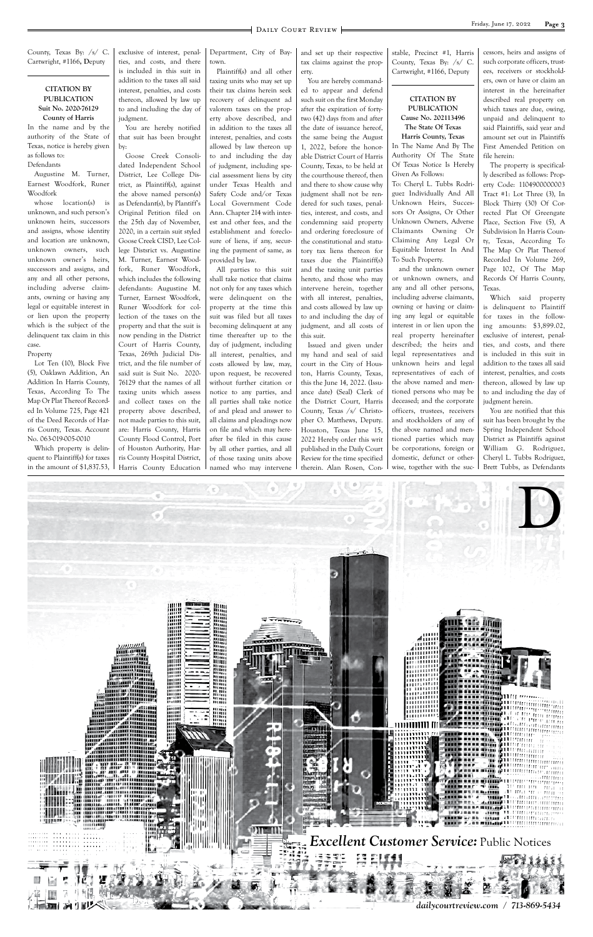

County, Texas By: /s/ C. Cartwright, #1166**, D**eputy

#### **CITATION BY PUBLICATION Suit No. 2020-76129 County of Harris**

In the name and by the authority of the State of Texas, notice is hereby given as follows to: Defendants

whose location(s) is unknown, and such person's unknown heirs, successors and assigns, whose identity and location are unknown, unknown owners, such unknown owner's heirs, successors and assigns, and any and all other persons, including adverse claimants, owning or having any legal or equitable interest in or lien upon the property which is the subject of the delinquent tax claim in this case.

Augustine M. Turner, Earnest Woodfork, Runer Woodfork

Property

Lot Ten (10), Block Five (5), Oaklawn Addition, An Addition In Harris County, Texas, According To The Map Or Plat Thereof Recorded In Volume 725, Page 421 of the Deed Records of Harris County, Texas. Account No. 063-019-005-0010

Which property is delinquent to Plaintiff(s) for taxes in the amount of \$1,837.53, exclusive of interest, penalties, and costs, and there is included in this suit in addition to the taxes all said interest, penalties, and costs thereon, allowed by law up to and including the day of judgment.

You are hereby notified that suit has been brought by:

Goose Creek Consolidated Independent School District, Lee College District, as Plaintiff(s), against the above named person(s) as Defendant(s), by Plantiff's Original Petition filed on the 25th day of November, 2020, in a certain suit styled Goose Creek CISD, Lee College Distsrict vs. Augustine M. Turner, Earnest Woodfork, Runer Woodfork, which includes the following defendants: Augustine M. Turner, Earnest Woodfork, Runer Woodfork for collection of the taxes on the property and that the suit is now pending in the District Court of Harris County, Texas, 269th Judicial District, and the file number of said suit is Suit No. 2020- 76129 that the names of all taxing units which assess and collect taxes on the property above described, not made parties to this suit, are: Harris County, Harris County Flood Control, Port of Houston Authority, Harris County Hospital District, Harris County Education

Department, City of Baytown.

Plaintiff(s) and all other taxing units who may set up their tax claims herein seek recovery of delinquent ad valorem taxes on the property above described, and in addition to the taxes all interest, penalties, and costs allowed by law thereon up to and including the day of judgment, including special assessment liens by city under Texas Health and Safety Code and/or Texas Local Government Code Ann. Chapter 214 with interest and other fees, and the establishment and foreclosure of liens, if any, securing the payment of same, as provided by law.

All parties to this suit shall take notice that claims not only for any taxes which were delinquent on the property at the time this suit was filed but all taxes becoming delinquent at any time thereafter up to the day of judgment, including all interest, penalties, and costs allowed by law, may, upon request, be recovered without further citation or notice to any parties, and all parties shall take notice of and plead and answer to all claims and pleadings now on file and which may hereafter be filed in this cause by all other parties, and all of those taxing units above named who may intervene and set up their respective tax claims against the property.

You are hereby commanded to appear and defend such suit on the first Monday after the expiration of fortytwo (42) days from and after the date of issuance hereof, the same being the August 1, 2022, before the honorable District Court of Harris County, Texas, to be held at the courthouse thereof, then and there to show cause why judgment shall not be rendered for such taxes, penalties, interest, and costs, and condemning said property and ordering foreclosure of the constitutional and statutory tax liens thereon for taxes due the Plaintiff(s) and the taxing unit parties hereto, and those who may intervene herein, together with all interest, penalties, and costs allowed by law up to and including the day of judgment, and all costs of

this suit. Issued and given under my hand and seal of said court in the City of Houston, Harris County, Texas, this the June 14, 2022. (Issuance date) (Seal) Clerk of the District Court, Harris County, Texas /s/ Christopher O. Matthews, Deputy. Houston, Texas June 15, 2022 Hereby order this writ published in the Daily Court Review for the time specified therein. Alan Rosen, Constable, Precinct #1, Harris County, Texas By: /s/ C. Cartwright, #1166, Deputy

> **CITATION BY PUBLICATION Cause No. 202113496 The State Of Texas Harris County, Texas**

In The Name And By The Authority Of The State Of Texas Notice Is Hereby Given As Follows:

To: Cheryl L. Tubbs Rodriguez Individually And All Unknown Heirs, Successors Or Assigns, Or Other Unknown Owners, Adverse Claimants Owning Or Claiming Any Legal Or Equitable Interest In And To Such Property.

and the unknown owner or unknown owners, and any and all other persons, including adverse claimants, owning or having or claiming any legal or equitable interest in or lien upon the real property hereinafter described; the heirs and legal representatives and unknown heirs and legal representatives of each of the above named and mentioned persons who may be deceased; and the corporate officers, trustees, receivers and stockholders of any of the above named and mentioned parties which may be corporations, foreign or domestic, defunct or otherwise, together with the successors, heirs and assigns of such corporate officers, trustees, receivers or stockholders, own or have or claim an interest in the hereinafter described real property on which taxes are due, owing, unpaid and delinquent to said Plaintiffs, said year and amount set out in Plaintiffs First Amended Petition on file herein:

The property is specifically described as follows: Property Code: 1104900000003 Tract #1: Lot Three (3), In Block Thirty (30) Of Corrected Plat Of Greengate Place, Section Five (5), A Subdivision In Harris County, Texas, According To The Map Or Plat Thereof Recorded In Volume 269, Page 102, Of The Map Records Of Harris County, Texas.

Which said property is delinquent to Plaintiff for taxes in the following amounts: \$3,899.02, exclusive of interest, penalties, and costs, and there is included in this suit in addition to the taxes all said interest, penalties, and costs thereon, allowed by law up to and including the day of judgment herein.

You are notified that this suit has been brought by the Spring Independent School District as Plaintiffs against William G. Rodriguez, Cheryl L. Tubbs Rodriguez, Brett Tubbs, as Defendants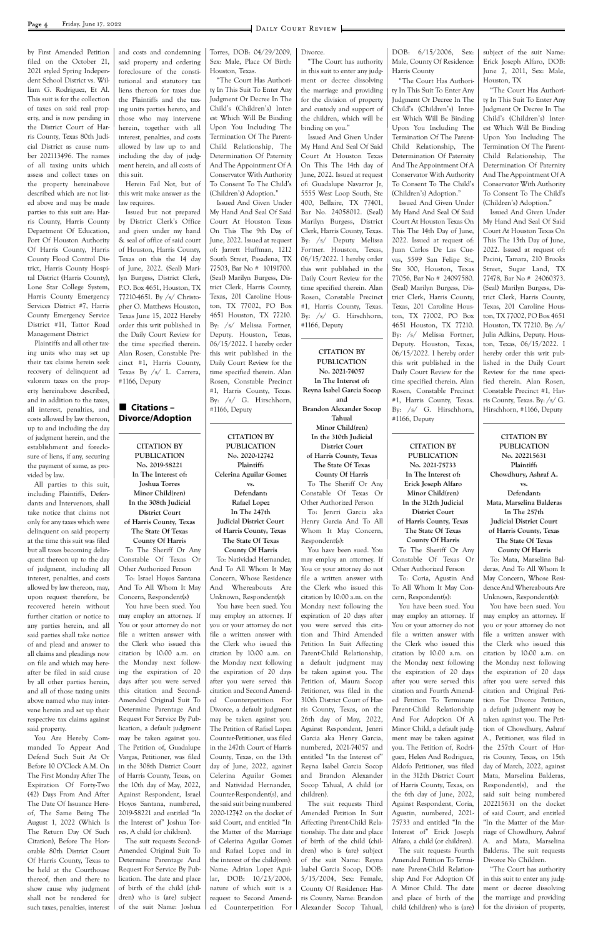by First Amended Petition filed on the October 21, 2021 styled Spring Independent School District vs. William G. Rodriguez, Et Al. This suit is for the collection of taxes on said real property, and is now pending in the District Court of Harris County, Texas 80th Judicial District as cause number 202113496. The names of all taxing units which assess and collect taxes on the property hereinabove described which are not listed above and may be made parties to this suit are: Harris County, Harris County Department Of Education, Port Of Houston Authority Of Harris County, Harris County Flood Control District, Harris County Hospital District (Harris County), Lone Star College System, Harris County Emergency Services District #7, Harris County Emergency Service District #11, Tattor Road Management District

Plaintiffs and all other taxing units who may set up their tax claims herein seek recovery of delinquent ad valorem taxes on the property hereinabove described, and in addition to the taxes, all interest, penalties, and costs allowed by law thereon, up to and including the day of judgment herein, and the establishment and foreclosure of liens, if any, securing the payment of same, as provided by law.

All parties to this suit, including Plaintiffs, Defendants and Intervenors, shall take notice that claims not only for any taxes which were delinquent on said property at the time this suit was filed but all taxes becoming delinquent thereon up to the day of judgment, including all interest, penalties, and costs allowed by law thereon, may, upon request therefore, be recovered herein without further citation or notice to any parties herein, and all said parties shall take notice of and plead and answer to all claims and pleadings now on file and which may hereafter be filed in said cause by all other parties herein,

### ■ Citations – **Divorce/Adoption**

and all of those taxing units above named who may intervene herein and set up their respective tax claims against said property.

You Are Hereby Commanded To Appear And Defend Such Suit At Or Before 10 O'Clock A.M. On The First Monday After The Expiration Of Forty-Two (42) Days From And After The Date Of Issuance Hereof, The Same Being The August 1, 2022 (Which Is The Return Day Of Such Citation), Before The Honorable 80th District Court Of Harris County, Texas to be held at the Courthouse thereof, then and there to show cause why judgment shall not be rendered for such taxes, penalties, interest

and costs and condemning said property and ordering foreclosure of the constitutional and statutory tax liens thereon for taxes due the Plaintiffs and the taxing units parties hereto, and those who may intervene herein, together with all interest, penalties, and costs allowed by law up to and including the day of judgment herein, and all costs of this suit.

Herein Fail Not, but of this writ make answer as the law requires.

Issued but not prepared by District Clerk's Office and given under my hand & seal of office of said court of Houston, Harris County, Texas on this the 14 day of June, 2022. (Seal) Marilyn Burgess, District Clerk, P.O. Box 4651, Houston, TX 77210-4651. By /s/ Christopher O. Matthews Houston, Texas June 15, 2022 Hereby order this writ published in the Daily Court Review for the time specified therein. Alan Rosen, Constable Precinct #1, Harris County, Texas By /s/ L. Carrera, #1166, Deputy

**CITATION BY PUBLICATION No. 2019-58221 In The Interest of: Joshua Torres Minor Child(ren) In the 308th Judicial District Court of Harris County, Texas The State Of Texas County Of Harris** To The Sheriff Or Any Constable Of Texas Or

Other Authorized Person To: Israel Hoyos Santana And To All Whom It May Concern, Respondent(s)

You have been sued. You may employ an attorney. If You or your attorney do not file a written answer with the Clerk who issued this citation by 10:00 a.m. on the Monday next following the expiration of 20 days after you were served this citation and Second-Amended Original Suit To Determine Parentage And Request For Service By Publication, a default judgment may be taken against you. The Petition of, Guadalupe Vargas, Petitioner, was filed in the 308th District Court of Harris County, Texas, on the 10th day of May, 2022, Against Respondent, Israel Hoyos Santana, numbered, 2019-58221 and entitled "In the Interest of" Joshua Torres, A child (or children). The suit requests Second-Amended Original Suit To Determine Parentage And Request For Service By Publication. The date and place of birth of the child (children) who is (are) subject

of the suit Name: Joshua

Torres, DOB: 04/29/2009, Sex: Male, Place Of Birth: Houston, Texas.

"The Court Has Authority In This Suit To Enter Any Judgment Or Decree In The Child's (Children's) Interest Which Will Be Binding Upon You Including The Termination Of The Parent-Child Relationship, The Determination Of Paternity And The Appointment Of A Conservator With Authority To Consent To The Child's (Children's) Adoption."

Issued And Given Under My Hand And Seal Of Said Court At Houston Texas On This The 9th Day of June, 2022. Issued at request of: Jarrett Huffman, 1212 South Street, Pasadena, TX 77503, Bar No # 10191700. (Seal) Marilyn Burgess, District Clerk, Harris County, Texas, 201 Caroline Houston, TX 77002, PO Box 4651 Houston, TX 77210. By: /s/ Melissa Fortner, Deputy. Houston, Texas, 06/15/2022. I hereby order this writ published in the Daily Court Review for the time specified therein. Alan Rosen, Constable Precinct #1, Harris County, Texas. By: /s/ G. Hirschhorn, #1166, Deputy

**CITATION BY PUBLICATION No. 2020-12742 Plaintiff: Celerina Aguilar Gomez vs. Defendant: Rafael Lopez In The 247th Judicial District Court of Harris County, Texas The State Of Texas County Of Harris** To: Natividad Hernandez,

And To All Whom It May Concern, Whose Residence And Whereabouts Are Unknown, Respondent(s):

You have been sued. You may employ an attorney. If you or your attorney do not file a written answer with the Clerk who issued this citation by 10:00 a.m. on the Monday next following the expiration of 20 days after you were served this citation and Second Amended Counterpetition For Divorce, a default judgment may be taken against you. The Petition of Rafael Lopez Counter-Petitioner, was filed in the 247th Court of Harris County, Texas, on the 13th day of June, 2022, against Celerina Aguilar Gomez and Natividad Hernandez, Counter-Respondent(s), and the said suit being numbered 2020-12742 on the docket of said Court, and entitled "In the Matter of the Marriage of Celerina Aguilar Gomez and Rafael Lopez and in the interest of the child(ren): Name: Adrian Lopez Aguilar, DOB: 10/23/2006, nature of which suit is a request to Second Amended Counterpetition For

Divorce.

"The Court has authority in this suit to enter any judgment or decree dissolving

the marriage and providing for the division of property and custody and support of the children, which will be binding on you."

Issued And Given Under My Hand And Seal Of Said Court At Houston Texas On This The 14th day of June, 2022. Issued at request of: Guadalupe Navarror Jr, 5555 West Loop South, Ste 400, Bellaire, TX 77401, Bar No. 24058012. (Seal) Marilyn Burgess, District Clerk, Harris County, Texas. By: /s/ Deputy Melissa Fortner. Houston, Texas, 06/15/2022. I hereby order this writ published in the Daily Court Review for the time specified therein. Alan Rosen, Constable Precinct #1, Harris County, Texas. By: /s/ G. Hirschhorn, #1166, Deputy

**CITATION BY PUBLICATION No. 2021-74057 In The Interest of: Reyna Isabel Garcia Socop and Brandon Alexander Socop Tahual Minor Child(ren) In the 310th Judicial District Court of Harris County, Texas The State Of Texas County Of Harris** To The Sheriff Or Any Constable Of Texas Or Other Authorized Person To: Jenrri Garcia aka Henry Garcia And To All Whom It May Concern, Respondent(s):

You have been sued. You may employ an attorney. If You or your attorney do not file a written answer with the Clerk who issued this citation by 10:00 a.m. on the Monday next following the expiration of 20 days after you were served this citation and Third Amended Petition In Suit Affecting Parent-Child Relationship, a default judgment may be taken against you. The Petition of, Maura Socop Petitioner, was filed in the 310th District Court of Harris County, Texas, on the 26th day of May, 2022, Against Respondent, Jenrri Garcia aka Henry Garcia, numbered, 2021-74057 and entitled "In the Interest of" Reyna Isabel Garcia Socop and Brandon Alexander Socop Tahual, A child (or children). The suit requests Third Amended Petition In Suit Affecting Parent-Child Relationship. The date and place of birth of the child (children) who is (are) subject of the suit Name: Reyna Isabel Garcia Socop, DOB:

5/15/2004, Sex: Female, County Of Residence: Harris County, Name: Brandon Alexander Socop Tahual,

DOB: 6/15/2006, Sex: Male, County Of Residence: Harris County

"The Court Has Authority In This Suit To Enter Any Judgment Or Decree In The Child's (Children's) Interest Which Will Be Binding Upon You Including The Termination Of The Parent-Child Relationship, The Determination Of Paternity And The Appointment Of A Conservator With Authority To Consent To The Child's (Children's) Adoption."

Issued And Given Under My Hand And Seal Of Said Court At Houston Texas On This The 14th Day of June, 2022. Issued at request of: Juan Carlos De Las Cuevas, 5599 San Felipe St., Ste 300, Houston, Texas 77056, Bar No # 24097580. (Seal) Marilyn Burgess, District Clerk, Harris County, Texas, 201 Caroline Houston, TX 77002, PO Box 4651 Houston, TX 77210. By: /s/ Melissa Fortner, Deputy. Houston, Texas, 06/15/2022. I hereby order this writ published in the Daily Court Review for the time specified therein. Alan Rosen, Constable Precinct #1, Harris County, Texas. By: /s/ G. Hirschhorn, #1166, Deputy

**CITATION BY PUBLICATION No. 2021-75733 In The Interest of: Erick Joseph Alfaro Minor Child(ren) In the 312th Judicial District Court of Harris County, Texas**

**The State Of Texas County Of Harris** To The Sheriff Or Any

Constable Of Texas Or Other Authorized Person To: Coria, Agustin And To All Whom It May Concern, Respondent(s):

You have been sued. You may employ an attorney. If You or your attorney do not file a written answer with the Clerk who issued this citation by 10:00 a.m. on the Monday next following the expiration of 20 days after you were served this citation and Fourth Amended Petition To Terminate Parent-Child Relationship And For Adoption Of A Minor Child, a default judgment may be taken against you. The Petition of, Rodriguez, Helen And Rodriguez, Aldofo Petitioner, was filed in the 312th District Court of Harris County, Texas, on the 6th day of June, 2022, Against Respondent, Coria, Agustin, numbered, 2021- 75733 and entitled "In the Interest of" Erick Joseph Alfaro, a child (or children). The suit requests Fourth Amended Petition To Terminate Parent-Child Relationship And For Adoption Of A Minor Child. The date and place of birth of the child (children) who is (are) subject of the suit Name: Erick Joseph Alfaro, DOB: June 7, 2011, Sex: Male, Houston, TX

"The Court Has Authority In This Suit To Enter Any Judgment Or Decree In The Child's (Children's) Interest Which Will Be Binding Upon You Including The Termination Of The Parent-Child Relationship, The Determination Of Paternity And The Appointment Of A Conservator With Authority To Consent To The Child's (Children's) Adoption."

Issued And Given Under My Hand And Seal Of Said Court At Houston Texas On This The 13th Day of June, 2022. Issued at request of: Pacini, Tamara, 210 Brooks Street, Sugar Land, TX 77478, Bar No # 24060373. (Seal) Marilyn Burgess, District Clerk, Harris County, Texas, 201 Caroline Houston, TX 77002, PO Box 4651 Houston, TX 77210. By: /s/ Julia Adkins, Deputy. Houston, Texas, 06/15/2022. I hereby order this writ published in the Daily Court Review for the time specified therein. Alan Rosen, Constable Precinct #1, Harris County, Texas. By: /s/ G. Hirschhorn, #1166, Deputy

**CITATION BY PUBLICATION No. 202215631 Plaintiff: Chowdhury, Ashraf A. vs. Defendant: Mata, Marselina Balderas In The 257th Judicial District Court of Harris County, Texas The State Of Texas County Of Harris** To: Mata, Marselina Balderas, And To All Whom It

May Concern, Whose Residence And Whereabouts Are Unknown, Respondent(s): You have been sued. You

may employ an attorney. If you or your attorney do not file a written answer with the Clerk who issued this citation by 10:00 a.m. on the Monday next following the expiration of 20 days after you were served this citation and Original Petition For Divorce Petition, a default judgment may be taken against you. The Petition of Chowdhury, Ashraf A., Petitioner, was filed in the 257th Court of Harris County, Texas, on 15th day of March, 2022, against Mata, Marselina Balderas, Respondent(s), and the said suit being numbered 202215631 on the docket of said Court, and entitled "In the Matter of the Marriage of Chowdhury, Ashraf A. and Mata, Marselina Balderas. The suit requests Divorce No Children.

"The Court has authority in this suit to enter any judgment or decree dissolving the marriage and providing for the division of property,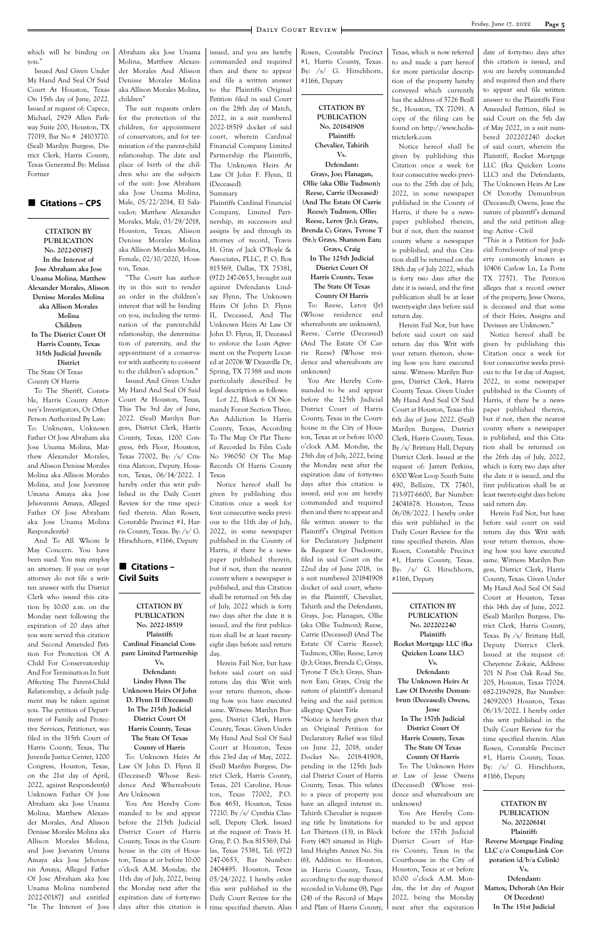# **Page 5** DAILY COURT REVIEW

which will be binding on you."

Issued And Given Under My Hand And Seal Of Said Court At Houston, Texas On 15th day of June, 2022. Issued at request of: Capece, Michael, 2929 Allen Parkway Suite 200, Houston, TX 77019, Bar No # 24103770. (Seal) Marilyn Burgess, District Clerk, Harris County, Texas Generated By: Melissa Fortner

#### ■ Citations – CPS

**CITATION BY PUBLICATION No. 2022-00187J In the Interest of Jose Abraham aka Jose Unama Molina, Matthew Alexander Morales, Alisson Denisse Morales Molina aka Allison Morales Molina Children In The District Court Of Harris County, Texas 315th Judicial Juvenile District** The State Of Texas County Of Harris To The Sheriff, Constable, Harris County Attorney's Investigators, Or Other Person Authorized By Law:

To: Unknown, Unknown Father Of Jose Abraham aka Jose Unama Molina, Matthew Alexander Morales, and Alisson Denisse Morales Molina aka Allison Morales Molina, and Jose Joevanny Umana Amaya aka Jose Jehovannis Amaya, Alleged Father Of Jose Abraham aka Jose Unama Molina Respondent(s)

And To All Whom It May Concern. You have been sued. You may employ an attorney. If you or your attorney do not file a written answer with the District Clerk who issued this citation by 10:00 a.m. on the Monday next following the expiration of 20 days after you were served this citation and Second Amended Petition For Protection Of A Child For Conservatorship And For Termination In Suit Affecting The Parent-Child Relationship, a default judgment may be taken against you. The petition of Department of Family and Protective Services, Petitioner, was filed in the 315th Court of Harris County, Texas, The Juvenile Justice Center, 1200 Congress, Houston, Texas, on the 21st day of April, 2022, against Respondent(s) Unknown Father Of Jose Abraham aka Jose Unama Molina, Matthew Alexander Morales, And Alisson Denisse Morales Molina aka Allison Morales Molina, and Jose Joevanny Umana Amaya aka Jose Jehovannis Amaya, Alleged Father Of Jose Abraham aka Jose Unama Molina numbered 2022-00187J and entitled "In The Interest of Jose

#### ■ Citations – **Civil Suits**

Abraham aka Jose Unama Molina, Matthew Alexander Morales And Alisson Denisse Morales Molina aka Allison Morales Molina, children"

The suit requests orders for the protection of the children, for appointment of conservators, and for termination of the parent-child relationship. The date and place of birth of the children who are the subjects of the suit: Jose Abraham aka Jose Unama Molina, Male, 05/22/2014, El Salavador; Matthew Alexander Morales, Male, 03/29/2018, Houston, Texas; Alisson Denisse Morales Molina aka Allison Morales Molina, Female, 02/10/2020, Houston, Texas.

"The Court has authority in this suit to render an order in the children's interest that will be binding on you, including the termination of the parent-child relationship, the determination of paternity, and the appointment of a conservator with authority to consent to the children's adoption."

Issued And Given Under My Hand And Seal Of Said Court At Houston, Texas, This The 3rd day of June, 2022. (Seal) Marilyn Burgess, District Clerk, Harris County, Texas, 1200 Congress, 6th Floor, Houston, Texas 77002, By: /s/ Cristina Alarcon, Deputy. Houston, Texas, 06/14/2022. I hereby order this writ published in the Daily Court Review for the time specified therein. Alan Rosen, Constable Precinct #1, Harris County, Texas. By: /s/ G. Hirschhorn, #1166, Deputy

**CITATION BY PUBLICATION No. 2022-18519 Plaintiff: Cardinal Financial Company Limited Partnership Vs. Defendant: Lindsy Flynn The Unknown Heirs Of John D. Flynn II (Deceased) In The 215th Judicial District Court Of Harris County, Texas The State Of Texas County of Harris** To: Unknown Heirs At Law Of John D. Flynn II (Deceased) Whose Residence And Whereabouts Are Unknown You Are Hereby Commanded to be and appear before the 215th Judicial District Court of Harris County, Texas in the Courthouse in the city of Houston, Texas at or before 10:00 o'clock A.M. Monday, the 11th day of July, 2022, being

the Monday next after the expiration date of forty-two days after this citation is issued, and you are hereby commanded and required then and there to appear and file a written answer to the Plaintiffs Original Petition filed in said Court on the 28th day of March, 2022, in a suit numbered 2022-18519 docket of said court, wherein Cardinal Financial Company Limited Partnership the Plaintiffs, The Unknown Heirs At Law Of John F. Flynn, II (Deceased). Summary

Plaintiffs Cardinal Financial Company, Limited Partnership, its successors and assigns by and through its attorney of record, Travis H. Gray of Jack O'Boyle & Associates, PLLC, P. O. Box 815369, Dallas, TX 75381, (972) 247-0653, brought suit against Defendants Lindsay Flynn, The Unknown Heirs Of John D. Flynn II, Deceased, And The Unknown Heirs At Law Of John D. Flynn, II, Deceased to enforce the Loan Agreement on the Property Located at 20706 W Deauville Dr, Spring, TX 77388 and more particularly described by legal description as follows:

Lot 22, Block 6 Of Normandy Forest Section Three, An Addiction In Harris County, Texas, According To The Map Or Plat Thereof Recorded In Film Code No 396050 Of The Map Records Of Harris County Texas

Notice hereof shall be given by publishing this Citation once a week for four consecutive weeks previous to the 11th day of July, 2022, in some newspaper published in the County of Harris, if there be a newspaper published therein, but if not, then the nearest county where a newspaper is published, and this Citation shall be returned on 5th day of July, 2022 which is forty two days after the date it is issued, and the first publication shall be at least twentyeight days before said return day.

Herein Fail Not, but have before said court on said return day this Writ with

your return thereon, showing how you have executed same. Witness: Marilyn Burgess, District Clerk, Harris County, Texas. Given Under My Hand And Seal Of Said Court at Houston, Texas this 23rd day of May, 2022. (Seal) Marilyn Burgess, District Clerk, Harris County, Texas, 201 Caroline, Houston, Texas 77002, P.O. Box 4651, Houston, Texas 77210. By /s/ Cynthia Clausell, Deputy Clerk. Issued at the request of: Travis H. Gray, P. O. Box 815369, Dallas, Texas 75381, Tel: (972) 247-0653, Bar Number: 2404495. Houston, Texas 05/24/2022. I hereby order this writ published in the Daily Court Review for the time specified therein. Alan

Rosen, Constable Precinct #1, Harris County, Texas. By: /s/ G. Hirschhorn, #1166, Deputy

> **CITATION BY PUBLICATION No. 201841908 Plaintiff: Chevalier, Tahirih Vs.**

**Defendant: Grays, Joe; Flanagan, Ollie (aka Ollie Tudmon); Reese, Carrie (Deceased) (And The Estate Of Carrie Reese); Tudmon, Ollie; Reese, Leroy (Jr.); Grays, Brenda C; Grays, Tyrone T (Sr.); Grays, Shannon Ean;** 

**Grays, Craig In The 125th Judicial District Court Of Harris County, Texas The State Of Texas County Of Harris**

To: Reese, Leroy (Jr) (Whose residence and whereabouts are unknown), Reese, Carrie (Deceased) (And The Estate Of Carrie Reese) (Whose residence and whereabouts are unknown) You Are Hereby Com-

manded to be and appear before the 125th Judicial District Court of Harris County, Texas in the Courthouse in the City of Houston, Texas at or before 10:00 o'clock A.M. Monday, the 25th day of July, 2022, being the Monday next after the expiration date of forty-two days after this citation is issued, and you are hereby commanded and required then and there to appear and file written answer to the Plaintiff's Original Petition for Declaratory Judgment & Request for Disclosure, filed in said Court on the 22nd day of June 2018, in a suit numbered 201841908 docket of said court, wherein the Plaintiff, Chevalier, Tahirih and the Defendants, Grays, Joe; Flanagan, Ollie (aka Ollie Tudmon); Reese, Carrie (Deceased) (And The Estate Of Carrie Reese); Tudmon, Ollie; Reese, Leroy (Jr.); Grays, Brenda C; Grays, Tyrone T (Sr.); Grays, Shannon Ean; Grays, Craig the nature of plaintiff's demand being and the said petition alleging: Quiet Title "Notice is hereby given that an Original Petition for Declaratory Relief was filed on June 22, 2018, under Docket No. 2018-41908, pending in the 125th Judicial District Court of Harris County, Texas. This relates to a piece of property you have an alleged interest in. Tahirih Chevalier is requesting title by limitations for Lot Thirteen (13), in Block Forty (40) situated in Highland Heights Annex No. Six (6), Addition to Houston, in Harris County, Texas, according to the map thereof recorded in Volume (8), Page (24) of the Record of Maps and Plats of Harris County,

Texas, which is now referred to and made a part hereof for more particular description of the property hereby conveyed which currently has the address of 5726 Beall St., Houston, TX 77091. A copy of the filing can be found on http://www.hcdistrictclerk.com

Notice hereof shall be given by publishing this Citation once a week for four consecutive weeks previous to the 25th day of July, 2022, in some newspaper published in the County of Harris, if there be a newspaper published therein, but if not, then the nearest county where a newspaper is published, and this Citation shall be returned on the 18th day of July 2022, which is forty two days after the date it is issued, and the first publication shall be at least twenty-eight days before said return day.

Herein Fail Not, but have before said court on said return day this Writ with your return thereon, showing how you have executed same. Witness: Marilyn Burgess, District Clerk, Harris County Texas. Given Under My Hand And Seal Of Said Court at Houston, Texas this 6th day of June 2022. (Seal) Marilyn Burgess, District Clerk, Harris County, Texas. By /s/ Brittany Hall, Deputy District Clerk. Issued at the request of: Jarrett Perkins, 6300 West Loop South Suite 490, Bellaire, TX 77401, 713-977-6600, Bar Number: 24041678. Houston, Texas 06/08/2022. I hereby order this writ published in the Daily Court Review for the time specified therein. Alan Rosen, Constable Precinct #1, Harris County, Texas. By: /s/ G. Hirschhorn, #1166, Deputy

**CITATION BY PUBLICATION No. 202202240 Plaintiff: Rocket Mortgage LLC (fka Quicken Loans LLC) Vs. Defendant: The Unknown Heirs At**

**Law Of Dorothy Demunbrun (Deceased); Owens, Jesse In The 157th Judicial District Court Of Harris County, Texas The State Of Texas County Of Harris** To: The Unknown Heirs at Law of Jesse Owens (Deceased) (Whose residence and whereabouts are unknown) You Are Hereby Commanded to be and appear before the 157th Judicial District Court of Harris County, Texas in the Courthouse in the City of Houston, Texas at or before 10:00 o'clock A.M. Monday, the 1st day of August 2022, being the Monday

next after the expiration

date of forty-two days after this citation is issued, and you are hereby commanded and required then and there to appear and file written answer to the Plaintiffs First Amended Petition, filed in said Court on the 5th day of May 2022, in a suit numbered 202202240 docket of said court, wherein the Plaintiff, Rocket Mortgage LLC (fka Quicken Loans LLC) and the Defendants, The Unknown Heirs At Law Of Dorothy Demunbrun (Deceased); Owens, Jesse the nature of plaintiff's demand and the said petition alleging: Active - Civil

"This is a Petition for Judicial Foreclosure of real property commonly known as 10406 Carlow Ln, La Porte TX 77571. The Petition alleges that a record owner of the property, Jesse Owens, is deceased and that some of their Heirs, Assigns and Devisees are Unknown."

Notice hereof shall be given by publishing this Citation once a week for four consecutive weeks previous to the 1st day of August, 2022, in some newspaper published in the County of Harris, if there be a newspaper published therein, but if not, then the nearest county where a newspaper is published, and this Citation shall be returned on the 26th day of July, 2022, which is forty two days after the date it is issued, and the first publication shall be at least twenty-eight days before said return day.

Herein Fail Not, but have before said court on said return day this Writ with your return thereon, showing how you have executed same. Witness: Marilyn Burgess, District Clerk, Harris County, Texas. Given Under My Hand And Seal Of Said Court at Houston, Texas this 14th day of June, 2022. (Seal) Marilyn Burgess, District Clerk, Harris County, Texas. By /s/ Brittany Hall, Deputy District Clerk. Issued at the request of: Cheyenne Zokaie, Address: 701 N Post Oak Road Ste. 205, Houston, Texas 77024, 682-219-0928, Bar Number: 24092003 Houston, Texas 06/15/2022. I hereby order this writ published in the Daily Court Review for the time specified therein. Alan Rosen, Constable Precinct #1, Harris County, Texas. By: /s/ G. Hirschhorn, #1166, Deputy

**CITATION BY PUBLICATION No. 202206141 Plaintiff: Reverse Mortgage Finding LLC c/o Compu-Link Corporation (d/b/a Celink) Vs. Defendant: Mattox, Deborah (An Heir Of Decedent) In The 151st Judicial**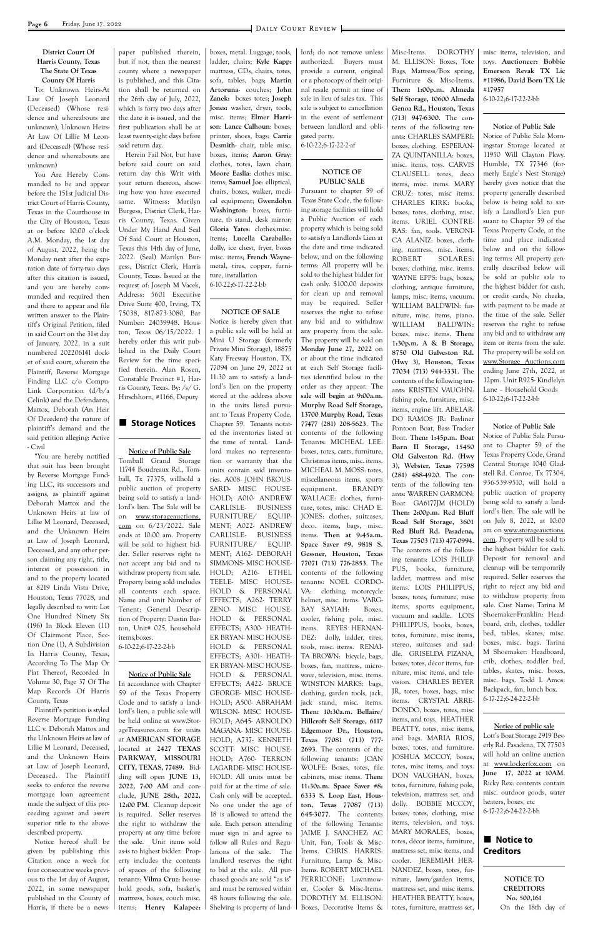#### **District Court Of Harris County, Texas The State Of Texas County Of Harris**

To: Unknown Heirs-At Law Of Joseph Leonard (Deceased) (Whose residence and whereabouts are unknown), Unknown Heirs-At Law Of Lillie M Leonard (Deceased) (Whose residence and whereabouts are unknown)

You Are Hereby Commanded to be and appear before the 151st Judicial District Court of Harris County, Texas in the Courthouse in the City of Houston, Texas at or before 10:00 o'clock A.M. Monday, the 1st day of August, 2022, being the Monday next after the expiration date of forty-two days after this citation is issued, and you are hereby commanded and required then and there to appear and file written answer to the Plaintiff's Original Petition, filed in said Court on the 31st day of January, 2022, in a suit numbered 202206141 docket of said court, wherein the Plaintiff, Reverse Mortgage Finding LLC c/o Compu-Link Corporation (d/b/a Celink) and the Defendants, Mattox, Deborah (An Heir Of Decedent) the nature of plaintiff's demand and the said petition alleging: Active - Civil

"You are hereby notified that suit has been brought by Reverse Mortgage Funding LLC, its successors and assigns, as plaintiff against Deborah Mattox and the Unknown Heirs at law of Lillie M Leonard, Deceased, and the Unknown Heirs at Law of Joseph Leonard, Deceased, and any other person claiming any right, title, interest or possession in and to the property located at 8219 Linda Vista Drive, Houston, Texas 77028, and legally described to writ: Lot One Hundred Ninety Six (196) In Block Eleven (11) Of Clairmont Place, Section One (1), A Subdivision In Harris County, Texas, According To The Map Or Plat Thereof, Recorded In Volume 30, Page 37 Of The

**Notice of Public Sale** accordance with Chap

paper published therein, but if not, then the nearest county where a newspaper is published, and this Citation shall be returned on the 26th day of July, 2022, which is forty two days after the date it is issued, and the first publication shall be at least twenty-eight days before said return day.

> Notice is hereby given that a public sale will be held at Mini U Storage (formerly Private Mini Storage), 18875 Katy Freeway Houston, TX, 77094 on June 29, 2022 at 11:30 am to satisfy a landlord's lien on the property stored at the address above in the units listed pursuant to Texas Property Code, Chapter 59. Tenants notated the inventories listed at the time of rental. Landlord makes no representation or warranty that the units contain said inventories. A008- JOHN BROUS-SARD- MISC HOUSE-HOLD; A010- ANDREW CARLISLE- BUSINESS FURNITURE/ EQUIP-MENT; A022- ANDREW CARLISLE- BUSINESS FURNITURE/ EQUIP-MENT; A162- DEBORAH SIMMONS- MISC HOUSE-HOLD; A216- ETHEL TEELE- MISC HOUSE-HOLD & PERSONAL EFFECTS; A262- TERRY ZENO- MISC HOUSE-HOLD & PERSONAL EFFECTS; A300- HEATH-ER BRYAN- MISC HOUSE-HOLD & PERSONAL EFFECTS; A301- HEATH-ER BRYAN- MISC HOUSE-HOLD & PERSONAL EFFECTS:  $\triangle$ 422- BRUCE

Herein Fail Not, but have before said court on said return day this Writ with your return thereon, showing how you have executed same. Witness: Marilyn Burgess, District Clerk, Harris County, Texas. Given Under My Hand And Seal Of Said Court at Houston, Texas this 14th day of June, 2022. (Seal) Marilyn Burgess, District Clerk, Harris County, Texas. Issued at the request of: Joseph M Vacek, Address: 5601 Executive Drive Suite 400, Irving, TX 75038, 817-873-3080, Bar Number: 24039948. Houston, Texas 06/15/2022. I hereby order this writ published in the Daily Court Review for the time specified therein. Alan Rosen, Constable Precinct #1, Harris County, Texas. By: /s/ G. Hirschhorn, #1166, Deputy

#### ■ Storage Notices

Pursuant to chapter 59 of Texas State Code, the following storage facilities will hold a Public Auction of each property which is being sold to satisfy a Landlords Lien at the date and time indicated below, and on the following terms: All property will be sold to the highest bidder for cash only. \$100.00 deposits for clean up and removal may be required. Seller reserves the right to refuse any bid and to withdraw any property from the sale. The property will be sold on **Monday June 27, 2022** on or about the time indicated at each Self Storage facilities identified below in the order as they appear. **The sale will begin at 9:00a.m. Murphy Road Self Storage, 13700 Murphy Road, Texas 77477 (281) 208-5623**. The contents of the following Tenants: MICHEAL LEE: boxes, totes, carts, furniture, Christmas items, misc. items. MICHEAL M. MOSS: totes, miscellaneous items, sports equipment. BRANDY WALLACE: clothes, furniture, totes, misc. CHAD E. JONES: clothes, suitcases, deco. items, bags, misc. items. **Then at 9:45a.m. Space Saver #9, 9818 S. Gessner, Houston, Texas 77071 (713) 776-2853**. The contents of the following tenants: NOEL CORDO-VA: clothing, motorcycle helmet, misc. items. VARG-BAY SAYIAH: Boxes, cooler, fishing pole, misc. items. REYES HERNAN-DEZ: dolly, ladder, tires, tools, misc. items. RENAI-TA BROWN: bicycle, bags, boxes, fan, mattress, microwave, television, misc. items. WINSTON MARKS: bags

**Notice of Public Sale** Tomball Grand Storage 11744 Boudreaux Rd., Tomball, Tx 77375, willhold a public auction of property being sold to satisfy a landlord's lien. The Sale will be on www.storageauctions. com on 6/23/2022. Sale ends at 10:00 am. Property will be sold to highest bidder. Seller reserves right to not accept any bid and to withdraw property from sale. Property being sold includes all contents each space. Name and unit Number of Tenent: General Description of Property: Dustin Barton, Unit# 025, household items,boxes. 6-10-22;6-17-22-2-bb

boxes, metal. Luggage, tools, ladder, chairs; **Kyle Kapp:** mattress, CDs, chairs, totes, sofa, tables, bags; **Martin Artoruna**- couches; **John Zanek:** boxes totes; **Joseph Jones:** washer, dryer, tools, misc. items; **Elmer Harrison**: **Lance Calhoun**: boxes, printer, shoes, bags; **Carrie Desmith**- chair, table misc. boxes, items; **Aaron Gray**: clothes, totes, lawn chair; **Moore Easlia**: clothes misc. items; **Samuel Joe**: elliptical, chairs, boxes, walker, medical equipment; **Gwendolyn Washington**: boxes, furniture, tb stand, desk mirror; **Gloria Yates**: clothes,misc. items; **Lucella Caraballo:** dolly, ice chest, fryer, boxes misc. items; **French Wayne**metal, tires, copper, furniture, installation 6-10-22;6-17-22-2-bb

#### **NOTICE OF SALE**

lord; do not remove unless authorized. Buyers must provide a current, original or a photocopy of their original resale permit at time of sale in lieu of sales tax. This sale is subject to cancellation in the event of settlement between landlord and obligated party. 6-10-22;6-17-22-2-af

> **NOTICE OF PUBLIC SALE**

|                                | III accordance with Chapter     | LITEUIS, ATLL DRUUL           | WHNOTOIN MITHANO: DALS,       |                                 |                               |
|--------------------------------|---------------------------------|-------------------------------|-------------------------------|---------------------------------|-------------------------------|
| Map Records Of Harris          | 59 of the Texas Property        | GEORGE- MISC HOUSE-           | clothing, garden tools, jack, | JR, totes, boxes, bags, misc    | Backpack, fan, lunch box.     |
| County, Texas                  | Code and to satisfy a land-     | HOLD; A500- ABRAHAM           | jack stand, misc. items.      | items. CRYSTAL ARRE-            | 6-17-22;6-24-22-2-bb          |
| Plaintiff's petition is styled | lord's lien, a public sale will | WILSON- MISC HOUSE-           | Then: 10:30a.m. Bellaire/     | DONDO, boxes, totes, misc       |                               |
| Reverse Mortgage Funding       | be held online at www.Stor-     | HOLD; A645- ARNOLDO           | Hillcroft Self Storage, 6117  | items, and toys. HEATHER        |                               |
| LLC v. Deborah Mattox and      | ageTreasures.com for units      | MAGANA- MISC HOUSE-           | Edgemoor Dr., Houston,        | BEATTY, totes, misc items,      | Notice of public sale         |
| the Unknown Heirs at law of    | at AMERICAN STORAGE             | HOLD; A737- KENNETH           | Texas 77081 (713) 777-        | and bags. MARIA RIOS,           | Lott's Boat Storage 2919 Bev- |
| Lillie M Leonard, Deceased,    | located at 2427 TEXAS           | SCOTT- MISC HOUSE-            | 2693. The contents of the     | boxes, totes, and furniture.    | erly Rd. Pasadena, TX 77503   |
| and the Unknown Heirs          | PARKWAY, MISSOURI               | HOLD; A760- TERRON            | following tenants: JOAN       | JOSHUA MCCOY, boxes,            | will hold an online auction   |
| at Law of Joseph Leonard,      | CITY, TEXAS, 77489. Bid-        | LAGARDE-MISC HOUSE-           | WOLFE: Boxes, totes, file     | totes, misc items, and toys.    | at www.lockerfox.com on       |
| Deceased. The Plaintiff        | ding will open JUNE 13,         | HOLD. All units must be       | cabinets, misc items. Then:   | DON VAUGHAN, boxes,             | June 17, 2022 at 10AM.        |
| seeks to enforce the reverse   | 2022, 7:00 AM and con-          | paid for at the time of sale. | 11:30a.m. Space Saver $#8$ :  | totes, furniture, fishing pole, | Ricky Rex: contents contain   |
| mortgage loan agreement        | clude, JUNE 28th, 2022,         | Cash only will be accepted.   | 6333 S. Loop East, Hous-      | television, mattress set, and   | misc. outdoor goods, water    |
| made the subject of this pro-  | 12:00 PM. Cleanup deposit       | No one under the age of       | ton, Texas 77087 (713)        | dolly. BOBBIE MCCOY,            | heaters, boxes, etc           |
| ceeding against and assert     | is required. Seller reserves    | 18 is allowed to attend the   | 645-3077. The contents        | boxes, totes, clothing, misc    | 6-17-22;6-24-22-2-bb          |
| superior title to the above-   | the right to withdraw the       | sale. Each person attending   | of the following Tenants:     | items, television, and toys.    |                               |
| described property.            | property at any time before     | must sign in and agree to     | JAIME J. SANCHEZ: AC          | MARY MORALES, boxes,            |                               |
| Notice hereof shall be         | the sale. Unit items sold       | follow all Rules and Regu-    | Unit, Fan, Tools & Misc-      | totes, décor items, furniture,  | Notice to                     |
| given by publishing this       | as-is to highest bidder. Prop-  | lations of the sale.<br>The   | Items. CHRIS HARRIS:          | mattress set, misc items, and   | <b>Creditors</b>              |
| Citation once a week for       | erty includes the contents      | landlord reserves the right   | Furniture, Lamp & Misc-       | cooler. JEREMIAH HER-           |                               |
| four consecutive weeks previ-  | of spaces of the following      | to bid at the sale. All pur-  | Items. ROBERT MICHAEL         | NANDEZ, boxes, totes, fur-      |                               |
| ous to the 1st day of August,  | tenants: Vilma Cruz: house-     | chased goods are sold "as is" | PERRICONE: Lawnmow-           | niture, lawn/garden items,      | NOTICE TO                     |
| 2022, in some newspaper        | hold goods, sofa, basket's,     | and must be removed within    | er, Cooler & Misc-Items.      | mattress set, and misc items.   | <b>CREDITORS</b>              |
| published in the County of     | mattress, boxes, couch misc.    | 48 hours following the sale.  | DOROTHY M. ELLISON:           | HEATHER BEATTY, boxes,          | No. 500,161                   |
| Harris, if there be a news-    | items; Henry Kalapee:           | Shelving is property of land- | Boxes, Decorative Items &     | totes, furniture, mattress set, | On the 18th day of            |

Misc-Items. DOROTHY

M. ELLISON: Boxes, Tote Bags, Mattress/Box spring, Furniture & Misc-Items. **Then: 1:00p.m. Almeda Self Storage, 10600 Almeda Genoa Rd., Houston, Texas (713) 947-6300**. The contents of the following tenants: CHARLES SAMPERI: boxes, clothing. ESPERAN-ZA QUINTANILLA: boxes, misc. items, toys. CARVIS CLAUSELL: totes, deco items, misc. items. MARY CRUZ: totes, misc items. CHARLES KIRK: books, boxes, totes, clothing, misc. items. URIEL CONTRE-RAS: fan, tools. VERONI-CA ALANIZ: boxes, clothing, mattress, misc. items. ROBERT SOLARES: boxes, clothing, misc. items. WAYNE EPPS: bags, boxes, clothing, antique furniture, lamps, misc. items, vacuum. WILLIAM BALDWIN: furniture, misc. items, piano. WILLIAM BALDWIN: boxes, misc. items. **Then: 1:30p.m. A & B Storage, 8750 Old Galveston Rd. (Hwy 3), Houston, Texas 77034 (713) 944-3331**. The contents of the following tenants: KRISTEN VAUGHN: fishing pole, furniture, misc. items, engine lift. ABELAR-DO RAMOS JR: Bayliner Pontoon Boat, Bass Tracker Boat. **Then: 1:45p.m. Boat Barn II Storage, 15450 Old Galveston Rd. (Hwy 3), Webster, Texas 77598 (281) 488-4920**. The contents of the following tenants: WARREN GARMON: Boat GA6177JM (HOLD) **Then: 2:00p.m. Red Bluff Road Self Storage, 3601 Red Bluff Rd. Pasadena, Texas 77503 (713) 477-0994**. The contents of the following tenants: LOIS PHILIP-PUS, books, furniture, ladder, mattress and misc items. LOIS PHILIPPUS, boxes, totes, furniture, misc items, sports equipment, vacuum and saddle. LOIS PHILIPPUS, books, boxes, totes, furniture, misc items, stereo, suitcases and saddle. GRISELDA PIZANA, boxes, totes, décor items, furniture, misc items, and television. CHARLES BEYER

misc items, television, and toys. **Auctioneer: Bobbie Emerson Revak TX Lic #11986, David Born TX Lic #17957** 6-10-22;6-17-22-2-bb

#### **Notice of Public Sale**

Notice of Public Sale Morningstar Storage located at 11950 Will Clayton Pkwy. Humble, TX 77346 (formerly Eagle's Nest Storage) hereby gives notice that the property generally described below is being sold to satisfy a Landlord's Lien pursuant to Chapter 59 of the Texas Property Code, at the time and place indicated below and on the following terms: All property generally described below will be sold at public sale to the highest bidder for cash, or credit cards, No checks, with payment to be made at the time of the sale. Seller reserves the right to refuse any bid and to withdraw any item or items from the sale. The property will be sold on www.Storage Auctions.com ending June 27th, 2022, at 12pm. Unit R925- Kindlelyn Lane – Household Goods 6-10-22;6-17-22-2-bb

#### **Notice of Public Sale**

Notice of Public Sale Pursuant to Chapter 59 of the Texas Property Code, Grand Central Storage 1040 Gladstell Rd. Conroe, Tx 77304, 936-539-9510, will hold a public auction of property being sold to satisfy a landlord's lien. The sale will be on July 8, 2022, at 10:00 am on www.storageauctions. com. Property will be sold to the highest bidder for cash. Deposit for removal and cleanup will be temporarily required. Seller reserves the right to reject any bid and to withdraw property from sale. Cust Name: Tarina M Shoemaker-Franklin: Headboard, crib, clothes, toddler bed, tables, skates, misc. boxes, misc. bags. Tarina M Shoemaker: Headboard, crib, clothes, toddler bed, tables, skates, misc. boxes, misc. bags. Todd L Amos: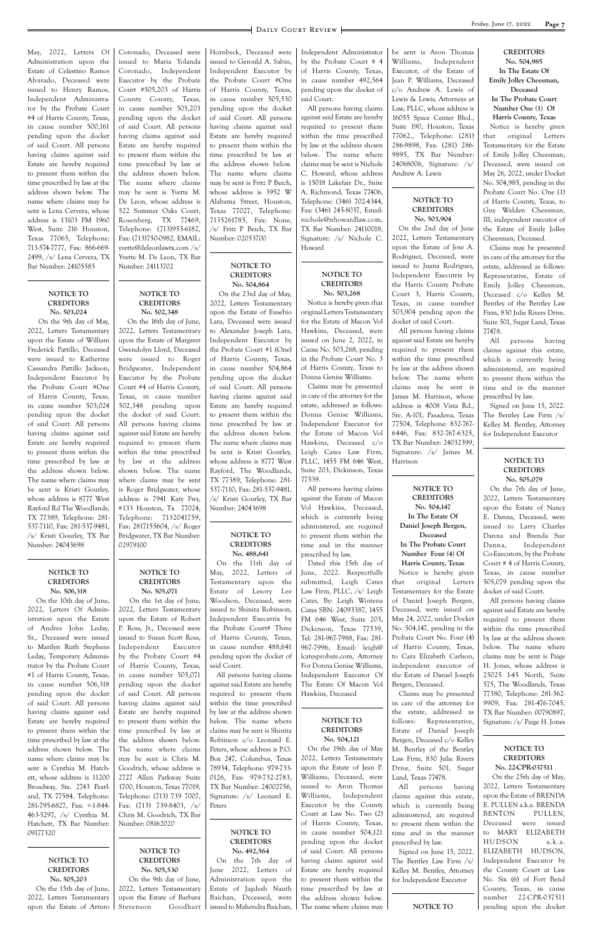May, 2022, Letters Of Administration upon the Estate of Celestino Ramos Alvarado, Deceased were issued to Henry Ramos, Independent Administrator by the Probate Court #4 of Harris County, Texas, in cause number 500,161 pending upon the docket of said Court. All persons having claims against said Estate are hereby required to present them within the time prescribed by law at the address shown below. The name where claims may be sent is Lena Cervera, whose address is 13103 FM 1960 West, Suite 216 Houston, Texas 77065, Telephone: 713-574-7777, Fax: 866-669- 2499, /s/ Lena Cervera, TX Bar Number: 24105585

#### **NOTICE TO CREDITORS No. 503,024**

 On the 9th day of May, 2022, Letters Testamentary upon the Estate of William Frederick Pattillo, Deceased were issued to Katherine Cassandra Pattillo Jackson, Independent Executor by the Probate Court #One of Harris County, Texas, in cause number 503,024 pending upon the docket of said Court. All persons having claims against said Estate are hereby required to present them within the time prescribed by law at the address shown below. The name where claims may be sent is Kristi Gourley, whose address is 8777 West Rayford Rd The Woodlands, TX 77389, Telephone: 281- 537-7110, Fax: 281-537-9481, /s/ Kristi Gourley, TX Bar Number: 24043698

#### **NOTICE TO CREDITORS No. 506,318**

 On the 10th day of June, 2022, Letters Of Administration upon the Estate of Andres John Leday, Sr., Deceased were issued to Marilyn Ruth Stephens Leday, Temporary Administrator by the Probate Court #1 of Harris County, Texas, in cause number 506,318 Coronado, Deceased were issued to Maria Yolanda Coronado, Independent Executor by the Probate Court #505,203 of Harris County County, Texas, in cause number 505,203 pending upon the docket of said Court. All persons having claims against said Estate are hereby required to present them within the time prescribed by law at the address shown below. The name where claims may be sent is Yvette M. De Leon, whose address is 522 Summer Oaks Court, Rosenberg, TX 77469, Telephone: (713)955-6182, Fax: (713)750-0982, EMAIL: yvette@deleonlawtx.com /s/ Yvette M. De Leon, TX Bar Number: 24113702

#### **NOTICE TO CREDITORS No. 502,348**

 On the 16th day of June, 2022, Letters Testamentary upon the Estate of Margaret Gwendolyn Lloyd, Deceased were issued to Roger Bridgwater, Independent Executor by the Probate Court #4 of Harris County, Texas, in cause number 502,348 pending upon the docket of said Court. All persons having claims against said Estate are hereby required to present them within the time prescribed by law at the address shown below. The name where claims may be sent is Roger Bridgwater, whose address is 7941 Katy Fwy, #133 Houston, Tx 77024, Telephone: 7132041759, Fax: 2817155604, /s/ Roger Bridgwater, TX Bar Number: 02979100

#### **NOTICE TO CREDITORS No. 505,071**

 On the 1st day of June, 2022, Letters Testamentary upon the Estate of Robert P. Ross, Jr., Deceased were issued to Susan Scott Ross, Independent Executor by the Probate Court #4 of Harris County, Texas, in cause number 505,071 pending upon the docket Hornbeck, Deceased were issued to Gerould A. Sabin, Independent Executor by the Probate Court #One of Harris County, Texas, in cause number 505,530 pending upon the docket of said Court. All persons having claims against said Estate are hereby required to present them within the time prescribed by law at the address shown below. The name where claims may be sent is Fritz P Beich, whose address is 3952 W Alabama Street, Houston, Texas 77027, Telephone: 7135261785, Fax: None, /s/ Fritz P Beich, TX Bar Number: 02053700

#### **NOTICE TO CREDITORS No. 504,864**

 On the 23rd day of May, 2022, Letters Testamentary upon the Estate of Eusebio Lara, Deceased were issued to Alexander Joseph Lara, Independent Executor by the Probate Court #1 (One) of Harris County, Texas, in cause number 504,864 pending upon the docket of said Court. All persons having claims against said Estate are hereby required to present them within the time prescribed by law at the address shown below. The name where claims may be sent is Kristi Gourley, whose address is 8777 West Rayford, The Woodlands, TX 77389, Telephone: 281- 537-7110, Fax: 281-537-9481, /s/ Kristi Gourley, TX Bar Number: 24043698

#### **NOTICE TO CREDITORS No. 488,641**

On the 11th day of May, 2022, Letters of Testamentary upon the Estate of Lesory Lee Woodson, Deceased, were issued to Shinita Robinson, Independent Executrix by the Probate Court# Three of Harris County, Texas, in cause number 488,641 pending upon the docket of said Court.

All persons having claims against said Estate are hereby Independent Administrator by the Probate Court # 4 of Harris County, Texas, in cause number 492,564 pending upon the docket of said Court.

All persons having claims against said Estate are hereby required to present them within the time prescribed by law at the address shown below. The name where claims may be sent is Nichole C. Howard, whose address is 15018 Lakefair Dr., Suite A, Richmond, Texas 77406, Telephone: (346) 702-4344, Fax: (346) 245-8037, Email: nichole@nhowardlaw.com, TX Bar Number: 24110018, Signature: /s/ Nichole C. Howard

#### **NOTICE TO CREDITORS No. 503,268**

Notice is hereby given that original Letters Testamentary for the Estate of Macon Vol Hawkins, Deceased, were issued on June 2, 2022, in Cause No. 503,268, pending in the Probate Court No. 3 of Harris County, Texas to Donna Genise Williams.

| pending upon the docket       | of said Court. All persons  | required to present them      | Hawkins, Deceased          | Claims may be presented     | 77380, Telephone: 281-362-    |
|-------------------------------|-----------------------------|-------------------------------|----------------------------|-----------------------------|-------------------------------|
| of said Court. All persons    | having claims against said  | within the time prescribed    |                            | in care of the attorney for | 9909, Fax: 281-476-7045,      |
| having claims against said    | Estate are hereby required  | by law at the address shown   |                            | the estate, addressed as    | TX Bar Number: 00790897,      |
| Estate are hereby required    | to present them within the  | below. The name where         | NOTICE TO                  | follows:<br>Representative, | Signature: /s/ Paige H. Jones |
| to present them within the    | time prescribed by law at   | claims may be sent is Shinita | <b>CREDITORS</b>           | Estate of Daniel Joseph     |                               |
| time prescribed by law at the | the address shown below.    | Robinson $c/o$ Leonard E.     | No. 504,121                | Bergen, Deceased c/o Kelley |                               |
| address shown below. The      | The name where claims       | Peters, whose address is P.O. | On the 19th day of May     | M. Bentley of the Bentley   | NOTICE TO                     |
| name where claims may be      | may be sent is Chris M.     | Box 247, Columbus, Texas      | 2022, Letters Testamentary | Law Firm, 830 Julie Rivers  | <b>CREDITORS</b>              |
| sent is Cynthia M. Hatch-     | Goodrich, whose address is  | 78934, Telephone: 979-733-    | upon the Estate of Jean P. | Drive, Suite 501, Sugar     | No. 22-CPR-037511             |
| ett, whose address is 11200   | 2727 Allen Parkway Suite    | 0126, Fax: 979-732-2783,      | Williams, Deceased, were   | Land, Texas 77478.          | On the 25th day of May,       |
| Broadway, Ste. 2743 Pearl-    | 1700, Houston, Texas 77019, | TX Bar Number: 24002756,      | issued to Aron Thomas      | All persons<br>having       | 2022, Letters Testamentary    |
| and, TX 77584, Telephone:     | Telephone: (713) 739 7007,  | Signature: /s/ Leonard E.     | Independent<br>Williams,   | claims against this estate, | upon the Estate of BRENDA     |
| 281-795-6827, Fax: +-1-844-   | Fax: $(713)$ 739-8403, /s/  | Peters                        | Executor by the County     | which is currently being    | E. PULLEN a.k.a. BRENDA       |
| 463-5297, /s/ Cynthia M.      | Chris M. Goodrich, TX Bar   |                               | Court at Law No. Two (2)   | administered, are required  | BENTON<br>PULLEN,             |
| Hatchett, TX Bar Number:      | Number: 08162020            |                               | of Harris County, Texas,   | to present them within the  | issued<br>Deceased<br>were    |
| 09177320                      |                             | NOTICE TO                     | in cause number 504,121    | time and in the manner      | to MARY<br>ELIZABETH          |
|                               |                             | <b>CREDITORS</b>              | pending upon the docket    | prescribed by law.          | HUDSON<br>a.k.a.              |
|                               | NOTICE TO                   | No. 492,564                   | of said Court. All persons | Signed on June 15, 2022.    | <b>ELIZABETH</b><br>HUDSON,   |
| NOTICE TO                     | <b>CREDITORS</b>            | On the 7th day of             | having claims against said | The Bentley Law Firm /s/    | Independent Executor by       |
| <b>CREDITORS</b>              | No. 505,530                 | June 2022, Letters of         | Estate are hereby required | Kelley M. Bentley, Attorney | the County Court at Law       |
| No. 505,203                   | On the 9th day of June,     | Administration upon the       | to present them within the | for Independent Executor    | No. Six (6) of Fort Bend      |
| On the 15th day of June,      | 2022, Letters Testamentary  | Estate of Jagdesh Nauth       | time prescribed by law at  |                             | County, Texas, in cause       |
| 2022, Letters Testamentary    | upon the Estate of Barbara  | Baichan, Deceased, were       | the address shown below.   |                             | 22-CPR-037511<br>number       |
| upon the Estate of Arturo     | Goodhart<br>Stevenson       | issued to Mahendra Baichan, 1 | The name where claims may  | NOTICE TO                   | pending upon the docket       |
|                               |                             |                               |                            |                             |                               |

Claims may be presented in care of the attorney for the estate, addressed as follows: Donna Genise Williams, Independent Executor for the Estate of Macon Vol Hawkins, Deceased c/o Leigh Cates Law Firm, PLLC, 1455 FM 646 West, Suite 203, Dickinson, Texas 77539.

All persons having claims against the Estate of Macon Vol Hawkins, Deceased, which is currently being administered, are required to present them within the time and in the manner prescribed by law.

Dated this 15th day of June, 2022. Respectfully submitted, Leigh Cates Law Firm, PLLC, /s/ Leigh Cates, By: Leigh Woitena Cates SBN: 24093387, 1455 FM 646 West, Suite 203, Dickinson, Texas 77539, Tel: 281-967-7988, Fax: 281- 967-7996, Email: leigh@ lcatesprobate.com, Attorney For Donna Genise Williams, Independent Executor Of The Estate Of Macon Vol

be sent is Aron Thomas Williams, Independent Executor, of the Estate of Jean P. Williams, Deceased c/o Andrew A. Lewis of Lewis & Lewis, Attorneys at Law, PLLC, whose address is 16055 Space Center Blvd., Suite 190, Houston, Texas 77062., Telephone: (281) 286-9898, Fax: (281) 286- 9895, TX Bar Number: 24068006, Signature: /s/ Andrew A. Lewis

#### **NOTICE TO CREDITORS No. 503,904**

On the 2nd day of June 2022, Letters Testamentary upon the Estate of Jose A. Rodriguez, Deceased, were issued to Juana Rodriguez, Independent Executrix by the Harris County Probate Court 3, Harris County, Texas, in cause number 503,904 pending upon the docket of said Court.

All persons having claims against said Estate are hereby required to present them within the time prescribed by law at the address shown below. The name where claims may be sent is James M. Harrison, whose address is 4008 Vista Rd., Ste. A-101, Pasadena, Texas 77504, Telephone: 832-767- 6446, Fax: 832-767-6325, TX Bar Number: 24032399, Signature: /s/ James M. Harrison

#### **NOTICE TO CREDITORS No. 504,147 In The Estate Of**

**Daniel Joseph Bergen, Deceased**

**In The Probate Court Number Four (4) Of Harris County, Texas** Notice is hereby given that original Letters Testamentary for the Estate of Daniel Joseph Bergen, Deceased, were issued on May 24, 2022, under Docket No. 504,147, pending in the Probate Court No. Four (4) of Harris County, Texas, to Cara Elizabeth Carlson, independent executor of the Estate of Daniel Joseph Bergen, Deceased.

#### **CREDITORS No. 504,985 In The Estate Of Emily Jolley Cheesman, Deceased In The Probate Court Number One (1) Of Harris County, Texas**

Notice is hereby given that original Letters Testamentary for the Estate of Emily Jolley Cheesman, Deceased, were issued on May 26, 2022, under Docket No. 504,985, pending in the Probate Court No. One (1) of Harris County, Texas, to Guy Walden Cheesman, III, independent executor of the Estate of Emily Jolley Cheesman, Deceased.

Claims may be presented in care of the attorney for the estate, addressed as follows: Representative, Estate of Emily Jolley Cheesman, Deceased c/o Kelley M. Bentley of the Bentley Law Firm, 830 Julie Rivers Drive, Suite 501, Sugar Land, Texas 77478.

All persons having claims against this estate, which is currently being administered, are required to present them within the time and in the manner prescribed by law.

Signed on June 15, 2022. The Bentley Law Firm /s/ Kelley M. Bentley, Attorney for Independent Executor

#### **NOTICE TO CREDITORS No. 505,079**

On the 7th day of June, 2022, Letters Testamentary upon the Estate of Nancy E. Danna, Deceased, were issued to Larry Charles Danna and Brenda Sue Danna, Independent Co-Executors, by the Probate Court # 4 of Harris County, Texas, in cause number 505,079 pending upon the docket of said Court.

All persons having claims against said Estate are hereby required to present them within the time prescribed by law at the address shown below. The name where claims may be sent is Paige H. Jones, whose address is 25025 I-45 North, Suite 575, The Woodlands, Texas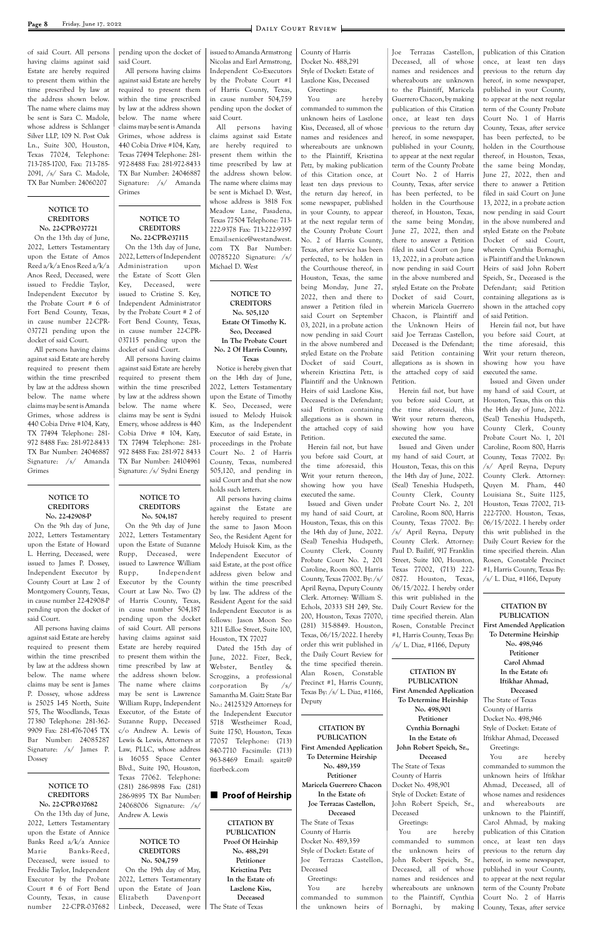of said Court. All persons having claims against said Estate are hereby required to present them within the time prescribed by law at the address shown below. The name where claims may be sent is Sara C. Madole, whose address is Schlanger Silver LLP, 109 N. Post Oak Ln., Suite 300, Houston, Texas 77024, Telephone: 713-785-1700, Fax: 713-785- 2091, /s/ Sara C. Madole, TX Bar Number: 24060207

#### **NOTICE TO CREDITORS No. 22-CPR-037721**

On the 13th day of June, 2022, Letters Testamentary upon the Estate of Amos Reed a/k/a Enos Reed a/k/a Anos Reed, Deceased, were issued to Freddie Taylor, Independent Executor by the Probate Court # 6 of Fort Bend County, Texas, in cause number 22-CPR-037721 pending upon the docket of said Court.

All persons having claims against said Estate are hereby required to present them within the time prescribed by law at the address shown below. The name where claims may be sent is Amanda Grimes, whose address is 440 Cobia Drive #104, Katy, TX 77494 Telephone: 281- 972 8488 Fax: 281-972-8433 TX Bar Number: 24046887 Signature: /s/ Amanda Grimes

#### **NOTICE TO CREDITORS No. 22-42908-P**

On the 9th day of June, 2022, Letters Testamentary upon the Estate of Howard L. Herring, Deceased, were issued to James P. Dossey, Independent Executor by County Court at Law 2 of Montgomery County, Texas, in cause number 22-42908-P pending upon the docket of said Court.

All persons having claims against said Estate are hereby required to present them within the time prescribed by law at the address shown below. The name where claims may be sent is James pending upon the docket of said Court.

All persons having claims against said Estate are hereby required to present them within the time prescribed by law at the address shown below. The name where claims may be sent is Amanda Grimes, whose address is 440 Cobia Drive #104, Katy, Texas 77494 Telephone: 281- 972-8488 Fax: 281-972-8433 TX Bar Number: 24046887 Signature: /s/ Amanda Grimes

#### **NOTICE TO CREDITORS No. 22-CPR-037115**

On the 13th day of June, 2022, Letters of Independent Administration upon the Estate of Scott Glen Key, Deceased, were issued to Cristine S. Key, Independent Administrator by the Probate Court # 2 of Fort Bend County, Texas, in cause number 22-CPR-037115 pending upon the docket of said Court.

All persons having claims against said Estate are hereby required to present them within the time prescribed by law at the address shown below. The name where claims may be sent is Sydni Emery, whose address is 440 Cobia Drive # 104, Katy, TX 77494 Telephone: 281- 972 8488 Fax: 281-972 8433 TX Bar Number: 24104961 Signature: /s/ Sydni Energy

County of Harris Docket No. 488,291 Style of Docket: Estate of Laszlone Kiss, Deceased Greetings:

#### **NOTICE TO CREDITORS No. 504,187**

On the 9th day of June 2022, Letters Testamentary upon the Estate of Suzanne Rupp, Deceased, were issued to Lawrence William Rupp, Independent Executor by the County Court at Law No. Two (2) of Harris County, Texas, in cause number 504,187 pending upon the docket of said Court. All persons having claims against said Estate are hereby required to present them within the time prescribed by law at the address shown below. The name where claims issued to Amanda Armstrong Nicolas and Earl Armstrong, Independent Co-Executors by the Probate Court #1 of Harris County, Texas, in cause number 504,759 pending upon the docket of said Court.

All persons having claims against said Estate are hereby required to present them within the time prescribed by law at the address shown below. The name where claims may be sent is Michael D. West, whose address is 3818 Fox Meadow Lane, Pasadena, Texas 77504 Telephone: 713- 222-9378 Fax: 713-222-9397 Email:senice@westandwest. com TX Bar Number: 00785220 Signature: /s/ Michael D. West

> Issued and Given under my hand of said Court, at Houston, Texas, this on this the 14th day of June, 2022. (Seal) Teneshia Hudspeth, County Clerk, County Probate Court No. 2, 201 Caroline, Room 800, Harris County, Texas 77002. By: /s/ April Reyna, Deputy County Clerk. Attorney: Paul D. Bailiff, 917 Franklin Street, Suite 100, Houston, Texas 77002, (713) 222- 0877. Houston, Texas, 06/15/2022. I hereby order this writ published in the Daily Court Review for the time specified therein. Alan Rosen, Constable Precinct #1, Harris County, Texas By:  $\sqrt{s}$  L. Diaz, #1166, Deputy

#### **NOTICE TO CREDITORS No. 505,120 Estate Of Timothy K. Seo, Deceased In The Probate Court No. 2 Of Harris County, Texas**

Notice is hereby given that on the 14th day of June, 2022, Letters Testamentary upon the Estate of Timothy K. Seo, Deceased, were issued to Melody Huisok Kim, as the Independent Executor of said Estate, in proceedings in the Probate Court No. 2 of Harris County, Texas, numbered 505,120, and pending in said Court and that she now holds such letters.

All persons having claims against the Estate are hereby required to present the same to Jason Moon Seo, the Resident Agent for Melody Huisok Kim, as the Independent Executor of said Estate, at the post office address given below and within the time prescribed by law. The address of the Resident Agent for the said Independent Executor is as follows: Jason Moon Seo 3211 Edloe Street, Suite 100, Houston, TX 77027

Issued and Given under my hand of said Court, at Houston, Texas, this on this the 14th day of June, 2022. (Seal) Teneshia Hudspeth, County Clerk, County Probate Court No. 1, 201 Caroline, Room 800, Harris County, Texas 77002. By: /s/ April Reyna, Deputy County Clerk. Attorney: Quyen M. Pham, 440 Louisiana St., Suite 1125, Houston, Texas 77002, 713- 222-7700. Houston, Texas, 06/15/2022. I hereby order this writ published in the Daily Court Review for the time specified therein. Alan Rosen, Constable Precinct #1, Harris County, Texas By:  $/s/L$ . Diaz, #1166, Deputy

Dated the 15th day of June, 2022. Fizer, Beck, Webster, Bentley & Scroggins, a professional corporation By /s/

You are hereby commanded to summon the unknown heirs of Laszlone Kiss, Deceased, all of whose names and residences and whereabouts are unknown to the Plaintiff, Krisztina Petz, by making publication of this Citation once, at least ten days previous to the return day hereof, in some newspaper, published in your County, to appear at the next regular term of the County Probate Court No. 2 of Harris County, Texas, after service has been perfected, to be holden in the Courthouse thereof, in Houston, Texas, the same being Monday, June 27, 2022, then and there to answer a Petition filed in said Court on September 03, 2021, in a probate action now pending in said Court in the above numbered and styled Estate on the Probate Docket of said Court, wherein Krisztina Petz, is Plaintiff and the Unknown Heirs of said Laszlone Kiss, Deceased is the Defendant; said Petition containing allegations as is shown in the attached copy of said Petition.

| P. Dossey, whose address       | may be sent is Lawrence                      | Samantha M. Gaitz State Bar | Texas By: $\sqrt{s}$ L. Diaz, #1166, | <b>First Amended Application</b> | Deceased                      |
|--------------------------------|----------------------------------------------|-----------------------------|--------------------------------------|----------------------------------|-------------------------------|
| is 25025 I-45 North, Suite     | William Rupp, Independent                    | No.: 24125329 Attorneys for | Deputy                               | To Determine Heirship            | The State of Texas            |
| 575, The Woodlands, Texas      | Executor, of the Estate of                   | the Independent Executor    |                                      | No. 498,901                      | County of Harris              |
| 77380 Telephone: 281-362-      | Suzanne Rupp, Deceased                       | 5718 Westheimer Road,       |                                      | Petitioner                       | Docket No. 498,946            |
| 9909 Fax: 281-476-7045 TX      | c/o Andrew A. Lewis of                       | Suite 1750, Houston, Texas  | <b>CITATION BY</b>                   | Cynthia Bornaghi                 | Style of Docket: Estate of    |
| Number: 24085287<br>Bar        | Lewis & Lewis, Attorneys at                  | 77057 Telephone:<br>(713)   | <b>PUBLICATION</b>                   | In the Estate of:                | Iftikhar Ahmad, Deceased      |
| Signature: $\sqrt{s}$ James P. | Law, PLLC, whose address                     | 840-7710 Facsimile: (713)   | <b>First Amended Application</b>     | John Robert Speich, Sr.,         | Greetings:                    |
| Dossey                         | is 16055 Space Center                        | 963-8469 Email: sgaitz@     | To Determine Heirship                | Deceased                         | You<br>hereby<br>are          |
|                                | Blvd., Suite 190, Houston,                   | fizerbeck.com               | No. 489,359                          | The State of Texas               | commanded to summon the       |
|                                | 77062. Telephone:<br>Texas                   |                             | Petitioner                           | County of Harris                 | unknown heirs of Iftikhar     |
| <b>NOTICE TO</b>               | (281) 286-9898 Fax: (281)                    |                             | Maricela Guerrero Chacon             | Docket No. 498,901               | Ahmad, Deceased, all of       |
| <b>CREDITORS</b>               | 286-9895 TX Bar Number:                      | <b>Proof of Heirship</b>    | In the Estate of:                    | Style of Docket: Estate of       | whose names and residences    |
| No. 22-CPR-037682              | 24068006 Signature: /s/                      |                             | Joe Terrazas Castellon,              | John Robert Speich, Sr.,         | whereabouts<br>and<br>are     |
| On the 13th day of June,       | Andrew A. Lewis                              |                             | Deceased                             | Deceased                         | unknown to the Plaintiff,     |
| 2022, Letters Testamentary     |                                              | <b>CITATION BY</b>          | The State of Texas                   | Greetings:                       | Carol Ahmad, by making        |
| upon the Estate of Annice      |                                              | <b>PUBLICATION</b>          | County of Harris                     | You<br>hereby<br>are             | publication of this Citation  |
| Banks Reed a/k/a Annice        | NOTICE TO                                    | Proof Of Heirship           | Docket No. 489,359                   | commanded to<br>summon           | once, at least ten days       |
| Marie<br>Banks-Reed,           | <b>CREDITORS</b>                             | No. 488,291                 | Style of Docket: Estate of           | the unknown heirs of             | previous to the return day    |
| Deceased, were issued to       | No. 504,759                                  | Petitioner                  | Joe Terrazas Castellon,              | John Robert Speich, Sr.,         | hereof, in some newspaper,    |
| Freddie Taylor, Independent    | On the 19th day of May,                      | Krisztina Petz              | Deceased                             | Deceased, all of whose           | published in your County,     |
| Executor by the Probate        | 2022, Letters Testamentary                   | In the Estate of:           | Greetings:                           | names and residences and         | to appear at the next regular |
| Court # 6 of Fort Bend         | upon the Estate of Joan                      | Laszlone Kiss,              | You<br>hereby<br>are                 | whereabouts are unknown          | term of the County Probate    |
| County, Texas, in cause        | Elizabeth<br>Davenport                       | Deceased                    | commanded to<br>summon               | to the Plaintiff, Cynthia        | Court No. 2 of Harris         |
| 22-CPR-037682<br>number        | Linbeck, Deceased, were   The State of Texas |                             | the unknown<br>heirs of              | Bornaghi,<br>making<br>by        | County, Texas, after service  |
|                                |                                              |                             |                                      |                                  |                               |

Herein fail not, but have you before said Court, at the time aforesaid, this Writ your return thereon, showing how you have executed the same.

Issued and Given under my hand of said Court, at Houston, Texas, this on this the 14th day of June, 2022. (Seal) Teneshia Hudspeth, County Clerk, County Probate Court No. 2, 201 Caroline, Room 800, Harris County, Texas 77002. By: /s/ April Reyna, Deputy County Clerk. Attorney: William S. Echols, 20333 SH 249, Ste. 200, Houston, Texas 77070, (281) 315-8849. Houston, Texas, 06/15/2022. I hereby order this writ published in the Daily Court Review for the time specified therein. Alan Rosen, Constable Precinct #1, Harris County, Joe Terrazas Castellon, Deceased, all of whose names and residences and whereabouts are unknown to the Plaintiff, Maricela Guerrero Chacon, by making publication of this Citation once, at least ten days previous to the return day hereof, in some newspaper, published in your County, to appear at the next regular term of the County Probate Court No. 2 of Harris County, Texas, after service has been perfected, to be holden in the Courthouse thereof, in Houston, Texas, the same being Monday, June 27, 2022, then and there to answer a Petition filed in said Court on June 13, 2022, in a probate action now pending in said Court in the above numbered and styled Estate on the Probate Docket of said Court, wherein Maricela Guerrero Chacon, is Plaintiff and the Unknown Heirs of said Joe Terrazas Castellon, Deceased is the Defendant; said Petition containing allegations as is shown in the attached copy of said Petition.

Herein fail not, but have you before said Court, at the time aforesaid, this Writ your return thereon, showing how you have executed the same.

#### **CITATION BY PUBLICATION**

publication of this Citation once, at least ten days previous to the return day hereof, in some newspaper, published in your County, to appear at the next regular term of the County Probate Court No. 1 of Harris County, Texas, after service has been perfected, to be holden in the Courthouse thereof, in Houston, Texas, the same being Monday, June 27, 2022, then and there to answer a Petition filed in said Court on June 13, 2022, in a probate action now pending in said Court in the above numbered and styled Estate on the Probate Docket of said Court, wherein Cynthia Bornaghi, is Plaintiff and the Unknown Heirs of said John Robert Speich, Sr., Deceased is the Defendant; said Petition containing allegations as is shown in the attached copy of said Petition.

Herein fail not, but have you before said Court, at the time aforesaid, this Writ your return thereon, showing how you have executed the same.

**CITATION BY PUBLICATION First Amended Application To Determine Heirship No. 498,946 Petitioner Carol Ahmad In the Estate of: Iftikhar Ahmad,**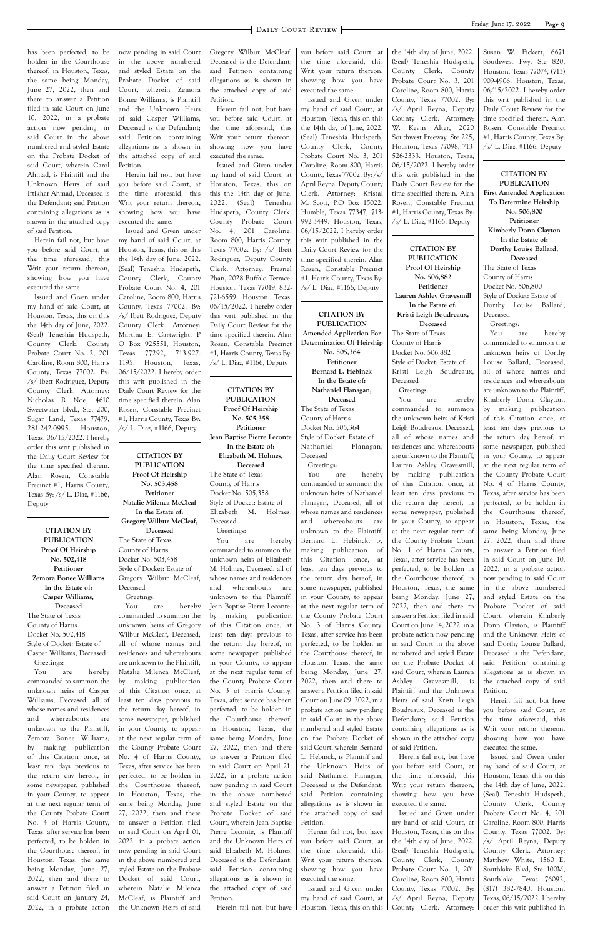has been perfected, to be holden in the Courthouse thereof, in Houston, Texas, the same being Monday, June 27, 2022, then and there to answer a Petition filed in said Court on June 10, 2022, in a probate action now pending in said Court in the above numbered and styled Estate on the Probate Docket of said Court, wherein Carol Ahmad, is Plaintiff and the Unknown Heirs of said Iftikhar Ahmad, Deceased is the Defendant; said Petition containing allegations as is shown in the attached copy of said Petition.

Herein fail not, but have you before said Court, at the time aforesaid, this Writ your return thereon, showing how you have executed the same.

Issued and Given under my hand of said Court, at Houston, Texas, this on this the 14th day of June, 2022. (Seal) Teneshia Hudspeth, County Clerk, County Probate Court No. 2, 201 Caroline, Room 800, Harris County, Texas 77002. By: /s/ Ibett Rodriguez, Deputy County Clerk. Attorney: Nicholas R Noe, 4610 Sweetwater Blvd., Ste. 200, Sugar Land, Texas 77479, 281-242-0995. Houston, Texas, 06/15/2022. I hereby order this writ published in the Daily Court Review for the time specified therein. Alan Rosen, Constable Precinct #1, Harris County, Texas By: /s/ L. Diaz, #1166, Deputy

**CITATION BY PUBLICATION Proof Of Heirship No. 502,418 Petitioner Zemora Bonee Williams In the Estate of: Casper Williams, Deceased** The State of Texas County of Harris Docket No. 502,418 Style of Docket: Estate of Casper Williams, Deceased Greetings: You are hereby commanded to summon the unknown heirs of Casper Williams, Deceased, all of whose names and residences and whereabouts are unknown to the Plaintiff, Zemora Bonee Williams, by making publication of this Citation once, at least ten days previous to the return day hereof, in some newspaper, published in your County, to appear at the next regular term of the County Probate Court No. 4 of Harris County, Texas, after service has been perfected, to be holden in the Courthouse thereof, in Houston, Texas, the same being Monday, June 27, 2022, then and there to answer a Petition filed in said Court on January 24, 2022, in a probate action

Issued and Given under my hand of said Court, at Houston, Texas, this on this the 14th day of June, 2022. (Seal) Teneshia Hudspeth, County Clerk, County Probate Court No. 4, 201 Caroline, Room 800, Harris County, Texas 77002. By: /s/ Ibett Rodriguez, Deputy County Clerk. Attorney: Fresnel Phan, 2028 Buffalo Terrace, Houston, Texas 77019, 832- 721-6559. Houston, Texas, 06/15/2022. I hereby order this writ published in the Daily Court Review for the time specified therein. Alan Rosen, Constable Precinct #1, Harris County, Texas By:  $\sqrt{s}$  L. Diaz, #1166, Deputy

now pending in said Court in the above numbered and styled Estate on the Probate Docket of said Court, wherein Zemora Bonee Williams, is Plaintiff and the Unknown Heirs of said Casper Williams, Deceased is the Defendant; said Petition containing allegations as is shown in the attached copy of said Petition.

Herein fail not, but have you before said Court, at the time aforesaid, this Writ your return thereon, showing how you have executed the same.

Issued and Given under my hand of said Court, at Houston, Texas, this on this the 14th day of June, 2022. (Seal) Teneshia Hudspeth, County Clerk, County Probate Court No. 4, 201 Caroline, Room 800, Harris County, Texas 77002. By: /s/ Ibett Rodriguez, Deputy County Clerk. Attorney: Martina E. Cartwright, P O Box 925551, Houston, Texas 77292, 713-927- 1195. Houston, Texas, 06/15/2022. I hereby order this writ published in the Daily Court Review for the time specified therein. Alan Rosen, Constable Precinct #1, Harris County, Texas By: /s/ L. Diaz, #1166, Deputy

Issued and Given under my hand of said Court, at Houston, Texas, this on this the 14th day of June, 2022. (Seal) Teneshia Hudspeth, County Clerk, County Probate Court No. 3, 201 Caroline, Room 800, Harris County, Texas 77002. By: /s/ April Reyna, Deputy County Clerk. Attorney: Kristal M. Scott, P.O Box 15022, Humble, Texas 77347, 713- 992-3449. Houston, Texas, 06/15/2022. I hereby order this writ published in the Daily Court Review for the time specified therein. Alan Rosen, Constable Precinct #1, Harris County, Texas By:  $\sqrt{s}$  L. Diaz, #1166, Deputy

#### **CITATION BY PUBLICATION Proof Of Heirship No. 503,458 Petitioner Natalie Milenca McCleaf In the Estate of: Gregory Wilbur McCleaf, Deceased** The State of Texas County of Harris Docket No. 503,458 Style of Docket: Estate of Gregory Wilbur McCleaf, Deceased

Greetings: You are hereby

commanded to summon the unknown heirs of Gregory Wilbur McCleaf, Deceased, all of whose names and residences and whereabouts are unknown to the Plaintiff, Natalie Milenca McCleaf, by making publication of this Citation once, at least ten days previous to the return day hereof, in some newspaper, published in your County, to appear at the next regular term of the County Probate Court No. 4 of Harris County, Texas, after service has been perfected, to be holden in the Courthouse thereof, in Houston, Texas, the same being Monday, June 27, 2022, then and there to answer a Petition filed in said Court on April 01, 2022, in a probate action now pending in said Court in the above numbered and styled Estate on the Probate Docket of said Court, wherein Natalie Milenca McCleaf, is Plaintiff and the Unknown Heirs of said the 14th day of June, 2022. (Seal) Teneshia Hudspeth, County Clerk, County Probate Court No. 3, 201 Caroline, Room 800, Harris County, Texas 77002. By: /s/ April Reyna, Deputy County Clerk. Attorney: W. Kevin Alter, 2020 Southwest Freeway, Ste 225, Houston, Texas 77098, 713- 526-2333. Houston, Texas, 06/15/2022. I hereby order this writ published in the Daily Court Review for the time specified therein. Alan Rosen, Constable Precinct #1, Harris County, Texas By:  $\sqrt{s}$  L. Diaz, #1166, Deputy

Gregory Wilbur McCleaf, Deceased is the Defendant; said Petition containing allegations as is shown in the attached copy of said Petition.

Herein fail not, but have you before said Court, at the time aforesaid, this Writ your return thereon, showing how you have executed the same.

**CITATION BY PUBLICATION Proof Of Heirship No. 505,358 Petitioner Jean Baptise Pierre Leconte In the Estate of: Elizabeth M. Holmes, Deceased** The State of Texas County of Harris Docket No. 505,358 Style of Docket: Estate of Elizabeth M. Holmes, Deceased

Houston, Texas, this on this commanded to summon the unknown heirs of Kristi Leigh Boudreaux, Deceased, all of whose names and residences and whereabouts are unknown to the Plaintiff, Lauren Ashley Gravesmill, by making publication of this Citation once, at least ten days previous to the return day hereof, in some newspaper, published in your County, to appear at the next regular term of the County Probate Court No. 1 of Harris County, Texas, after service has been perfected, to be holden in the Courthouse thereof, in Houston, Texas, the same being Monday, June 27, 2022, then and there to answer a Petition filed in said Court on June 14, 2022, in a probate action now pending in said Court in the above numbered and styled Estate on the Probate Docket of said Court, wherein Lauren Ashley Gravesmill, is Plaintiff and the Unknown Heirs of said Kristi Leigh Boudreaux, Deceased is the Defendant; said Petition containing allegations as is shown in the attached copy of said Petition. Herein fail not, but have you before said Court, at the time aforesaid, this Writ your return thereon, showing how you have executed the same. Issued and Given under my hand of said Court, at Houston, Texas, this on this the 14th day of June, 2022. (Seal) Teneshia Hudspeth, County Clerk, County Probate Court No. 1, 201 Caroline, Room 800, Harris County, Texas 77002. By: /s/ April Reyna, Deputy County Clerk. Attorney:

Susan W. Fickert, 6671 Southwest Fwy, Ste 820, Houston, Texas 77074, (713) 909-4906. Houston, Texas, 06/15/2022. I hereby order this writ published in the Daily Court Review for the time specified therein. Alan Rosen, Constable Precinct #1, Harris County, Texas By:  $\sqrt{s}$  L. Diaz, #1166, Deputy

Greetings:

You are hereby commanded to summon the unknown heirs of Elizabeth M. Holmes, Deceased, all of whose names and residences and whereabouts are unknown to the Plaintiff, Jean Baptise Pierre Leconte, by making publication of this Citation once, at least ten days previous to the return day hereof, in some newspaper, published in your County, to appear at the next regular term of the County Probate Court

No. 3 of Harris County, Texas, after service has been perfected, to be holden in the Courthouse thereof, in Houston, Texas, the same being Monday, June 27, 2022, then and there to answer a Petition filed in said Court on April 21, 2022, in a probate action now pending in said Court in the above numbered and styled Estate on the Probate Docket of said Court, wherein Jean Baptise Pierre Leconte, is Plaintiff and the Unknown Heirs of said Elizabeth M. Holmes, Deceased is the Defendant; said Petition containing allegations as is shown in the attached copy of said Petition.

Herein fail not, but have

you before said Court, at the time aforesaid, this Writ your return thereon, showing how you have executed the same.

**CITATION BY PUBLICATION Amended Application For Determination Of Heirship No. 505,364 Petitioner Bernard L. Hebinck In the Estate of: Nathaniel Flanagan, Deceased** The State of Texas County of Harris Docket No. 505,364

Style of Docket: Estate of

Nathaniel Flanagan, Deceased Greetings:

You are hereby commanded to summon the unknown heirs of Nathaniel Flanagan, Deceased, all of whose names and residences and whereabouts are unknown to the Plaintiff, Bernard L. Hebinck, by making publication of this Citation once, at least ten days previous to the return day hereof, in some newspaper, published in your County, to appear at the next regular term of the County Probate Court No. 3 of Harris County, Texas, after service has been perfected, to be holden in the Courthouse thereof, in Houston, Texas, the same being Monday, June 27, 2022, then and there to answer a Petition filed in said Court on June 09, 2022, in a probate action now pending in said Court in the above numbered and styled Estate on the Probate Docket of said Court, wherein Bernard L. Hebinck, is Plaintiff and the Unknown Heirs of said Nathaniel Flanagan, Deceased is the Defendant; said Petition containing allegations as is shown in the attached copy of said Petition. Herein fail not, but have you before said Court, at the time aforesaid, this Writ your return thereon, showing how you have executed the same. Issued and Given under my hand of said Court, at

**CITATION BY PUBLICATION Proof Of Heirship No. 506,882 Petitioner Lauren Ashley Gravesmill In the Estate of: Kristi Leigh Boudreaux, Deceased** The State of Texas County of Harris Docket No. 506,882 Style of Docket: Estate of Kristi Leigh Boudreaux, Deceased Greetings: You are hereby

## **CITATION BY PUBLICATION**

**First Amended Application To Determine Heirship No. 506,800 Petitioner Kimberly Donn Clayton In the Estate of: Dorthy Louise Ballard, Deceased** The State of Texas County of Harris Docket No. 506,800 Style of Docket: Estate of Dorthy Louise Ballard, Deceased

Greetings: You are hereby

commanded to summon the unknown heirs of Dorthy Louise Ballard, Deceased, all of whose names and residences and whereabouts are unknown to the Plaintiff, Kimberly Donn Clayton, by making publication of this Citation once, at least ten days previous to the return day hereof, in some newspaper, published in your County, to appear at the next regular term of the County Probate Court No. 4 of Harris County, Texas, after service has been perfected, to be holden in the Courthouse thereof, in Houston, Texas, the same being Monday, June 27, 2022, then and there to answer a Petition filed in said Court on June 10, 2022, in a probate action now pending in said Court in the above numbered and styled Estate on the Probate Docket of said Court, wherein Kimberly Donn Clayton, is Plaintiff and the Unknown Heirs of said Dorthy Louise Ballard, Deceased is the Defendant; said Petition containing allegations as is shown in the attached copy of said

Petition.

Herein fail not, but have you before said Court, at the time aforesaid, this Writ your return thereon, showing how you have executed the same.

Issued and Given under my hand of said Court, at Houston, Texas, this on this the 14th day of June, 2022. (Seal) Teneshia Hudspeth, County Clerk, County Probate Court No. 4, 201 Caroline, Room 800, Harris County, Texas 77002. By: /s/ April Reyna, Deputy County Clerk. Attorney: Matthew White, 1560 E. Southlake Blvd, Ste 100M, Southlake, Texas 76092, (817) 382-7840. Houston, Texas, 06/15/2022. I hereby order this writ published in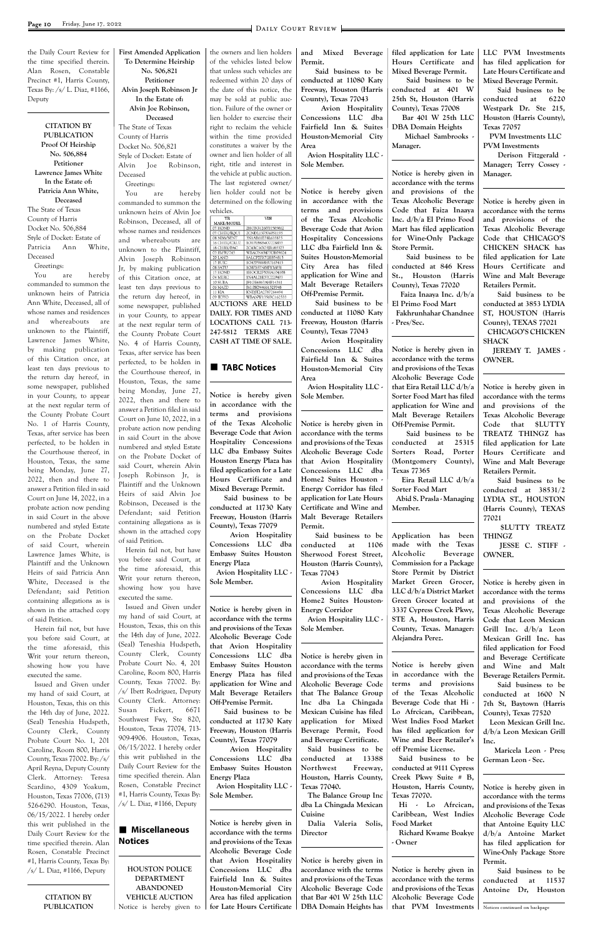the Daily Court Review for the time specified therein. Alan Rosen, Constable Precinct #1, Harris County, Texas By: /s/ L. Diaz, #1166, Deputy

**CITATION BY PUBLICATION Proof Of Heirship No. 506,884 Petitioner Lawrence James White In the Estate of: Patricia Ann White, Deceased** The State of Texas County of Harris Docket No. 506,884 Style of Docket: Estate of Patricia Ann White, Deceased Greetings:

my hand of said Court, at Houston, Texas, this on this the 14th day of June, 2022. (Seal) Teneshia Hudspeth, County Clerk, County Probate Court No. 1, 201 Caroline, Room 800, Harris County, Texas 77002. By: /s/ April Reyna, Deputy County Clerk. Attorney: Teresa Scardino, 4309 Yoakum, Houston, Texas 77006, (713) 526-6290. Houston, Texas, 06/15/2022. I hereby order this writ published in the Daily Court Review for the time specified therein. Alan Rosen, Constable Precinct #1, Harris County, Texas By:  $\sqrt{s}$ / L. Diaz, #1166, Deputy

You are hereby commanded to summon the unknown heirs of Patricia Ann White, Deceased, all of whose names and residences and whereabouts are unknown to the Plaintiff, Lawrence James White, by making publication of this Citation once, at least ten days previous to the return day hereof, in some newspaper, published in your County, to appear at the next regular term of the County Probate Court No. 1 of Harris County, Texas, after service has been perfected, to be holden in the Courthouse thereof, in Houston, Texas, the same being Monday, June 27, 2022, then and there to answer a Petition filed in said Court on June 14, 2022, in a probate action now pending in said Court in the above numbered and styled Estate on the Probate Docket of said Court, wherein Lawrence James White, is Plaintiff and the Unknown Heirs of said Patricia Ann White, Deceased is the Defendant; said Petition containing allegations as is shown in the attached copy of said Petition.

Herein fail not, but have you before said Court, at the time aforesaid, this Writ your return thereon, showing how you have executed the same.

Issued and Given under

Issued and Given under my hand of said Court, at Houston, Texas, this on this the 14th day of June, 2022. (Seal) Teneshia Hudspeth, County Clerk, County Probate Court No. 4, 201 Caroline, Room 800, Harris County, Texas 77002. By: /s/ Ibett Rodriguez, Deputy County Clerk. Attorney: Susan Fickert, 6671 Southwest Fwy, Ste 820, Houston, Texas 77074, 713- 909-4906. Houston, Texas, 06/15/2022. I hereby order this writ published in the Daily Court Review for the time specified therein. Alan Rosen, Constable Precinct #1, Harris County, Texas By:  $\sqrt{s}$  L. Diaz, #1166, Deputy

## $\blacksquare$  Miscellaneous **Notices**

**HOUSTON POLICE DEPARTMENT ABANDONED VEHICLE AUCTION** Notice is hereby given to I

**CITATION BY PUBLICATION** **First Amended Application To Determine Heirship No. 506,821 Petitioner Alvin Joseph Robinson Jr In the Estate of: Alvin Joe Robinson, Deceased**

The State of Texas County of Harris Docket No. 506,821 Style of Docket: Estate of Alvin Joe Robinson, Deceased Greetings:

> $\overline{\text{un}}$ MAKE/MODEL CHEV/EC 2CNDL13F376051195<br>3N1AB61E78L635875 8 NISS **CHEV/CRU** 8 CHRY<br>3 BMW/ <u>2046010031618332</u><br>WBAGN63473DR096<br>SALCP2FX7LH854815 1042P5SS8HU167415<br>1082S57N08F136051<br>1HGCR2F50HA104108 7 BUIC<br>8 SATU 7 HOND<br>14 MERC **N4AL21E3** 11 KIA<br>09 TOYO KNDJ12A2787264494<br>WBANW13569C162533 **AUCTIONS ARE HELD DAILY. FOR TIMES AND LOCATIONS CALL 713- 247-5812 TERMS ARE CASH AT TIME OF SALE.**

#### $\blacksquare$  **TABC Notices**

You are hereby commanded to summon the unknown heirs of Alvin Joe Robinson, Deceased, all of whose names and residences and whereabouts are unknown to the Plaintiff, Alvin Joseph Robinson Jr, by making publication of this Citation once, at least ten days previous to the return day hereof, in some newspaper, published in your County, to appear at the next regular term of the County Probate Court No. 4 of Harris County, Texas, after service has been perfected, to be holden in the Courthouse thereof, in Houston, Texas, the same being Monday, June 27, 2022, then and there to answer a Petition filed in said Court on June 10, 2022, in a probate action now pending in said Court in the above numbered and styled Estate on the Probate Docket of said Court, wherein Alvin Joseph Robinson Jr, is Plaintiff and the Unknown Heirs of said Alvin Joe Robinson, Deceased is the Defendant; said Petition containing allegations as is shown in the attached copy of said Petition.

Herein fail not, but have you before said Court, at the time aforesaid, this Writ your return thereon, showing how you have executed the same.

the owners and lien holders of the vehicles listed below that unless such vehicles are redeemed within 20 days of the date of this notice, the may be sold at public auction. Failure of the owner or lien holder to exercise their right to reclaim the vehicle within the time provided constitutes a waiver by the owner and lien holder of all right, title and interest in the vehicle at public auction. The last registered owner/ lien holder could not be determined on the following vehicles.

**Notice is hereby given in accordance with the terms and provisions of the Texas Alcoholic Beverage Code that Avion Hospitality Concessions LLC dba Embassy Suites Houston Energy Plaza has filed application for a Late Hours Certificate and Mixed Beverage Permit.**

 **Said business to be conducted at 11730 Katy Freeway, Houston (Harris County), Texas 77079**

 **Avion Hospitality Concessions LLC dba Embassy Suites Houston Energy Plaza**

 **Avion Hospitality LLC - Sole Member.**

**Notice is hereby given in accordance with the terms and provisions of the Texas Alcoholic Beverage Code that Avion Hospitality Concessions LLC dba Embassy Suites Houston Energy Plaza has filed application for Wine and** 

**Malt Beverage Retailers Off-Premise Permit.**

 **Said business to be conducted at 11730 Katy Freeway, Houston (Harris County), Texas 77079 Avion Hospitality Concessions LLC dba Embassy Suites Houston Energy Plaza**

 **Avion Hospitality LLC - Sole Member.**

**Notice is hereby given in accordance with the terms and provisions of the Texas Alcoholic Beverage Code that Avion Hospitality Concessions LLC dba Fairfield Inn & Suites Houston-Memorial City Area has filed application for Late Hours Certificate**  **and Mixed Beverage Permit.**

 **Said business to be conducted at 11080 Katy Freeway, Houston (Harris County), Texas 77043**

 **Avion Hospitality Concessions LLC dba Fairfield Inn & Suites Houston-Memorial City Area**

 **Avion Hospitality LLC - Sole Member.**

**Notice is hereby given in accordance with the terms and provisions of the Texas Alcoholic Beverage Code that Avion Hospitality Concessions LLC dba Fairfield Inn & Suites Houston-Memorial City Area has filed application for Wine and Malt Beverage Retailers Off-Premise Permit.**

 **Said business to be conducted at 11080 Katy Freeway, Houston (Harris County), Texas 77043**

 **Avion Hospitality Concessions LLC dba Fairfield Inn & Suites Houston-Memorial City Area Avion Hospitality LLC -** 

**Sole Member.**

**Notice is hereby given in accordance with the terms and provisions of the Texas Alcoholic Beverage Code that Avion Hospitality Concessions LLC dba Home2 Suites Houston - Energy Corridor has filed application for Late Hours Certificate and Wine and Malt Beverage Retailers Permit.**

 **Said business to be conducted at 1106 Sherwood Forest Street, Houston (Harris County), Texas 77043**

 **Avion Hospitality Concessions LLC dba Home2 Suites Houston-Energy Corridor Avion Hospitality LLC - Sole Member.**

**Notice is hereby given in accordance with the terms and provisions of the Texas Alcoholic Beverage Code that The Balance Group Inc dba La Chingada Mexican Cuisine has filed application for Mixed Beverage Permit, Food and Beverage Certificate. Said business to be conducted at 13388 Northwest Freeway, Houston, Harris County, Texas 77040. The Balance Group Inc dba La Chingada Mexican Cuisine Dalia Valeria Solis, Director**

**Notice is hereby given in accordance with the terms and provisions of the Texas Alcoholic Beverage Code that Bar 401 W 25th LLC DBA Domain Heights has**  **filed application for Late Hours Certificate and Mixed Beverage Permit.**

 **Said business to be conducted at 401 W 25th St, Houston (Harris County), Texas 77008 Bar 401 W 25th LLC** 

**DBA Domain Heights Michael Sambrooks - Manager.**

**Notice is hereby given in accordance with the terms and provisions of the Texas Alcoholic Beverage Code that Faiza Inaaya Inc. d/b/a El Primo Food Mart has filed application for Wine-Only Package Store Permit.**

 **Said business to be conducted at 846 Kress St., Houston (Harris County), Texas 77020**

 **Faiza Inaaya Inc. d/b/a El Primo Food Mart**

 **Fakhrunhahar Chandnee - Pres/Sec.**

**Notice is hereby given in accordance with the terms and provisions of the Texas Alcoholic Beverage Code that Eira Retail LLC d/b/a Sorter Food Mart has filed application for Wine and Malt Beverage Retailers Off-Premise Permit.**

 **Said business to be conducted at 25315 Sorters Road, Porter (Montgomery County), Texas 77365**

 **Eira Retail LLC d/b/a Sorter Food Mart Abid S. Prasla - Managing Member.**

**Application has been made with the Texas Alcoholic Beverage Commission for a Package Store Permit by District Market Green Grocer, LLC d/b/a District Market Green Grocer located at 3337 Cypress Creek Pkwy, STE A, Houston, Harris County, Texas. Manager: Alejandra Perez.**

**Notice is hereby given in accordance with the terms and provisions of the Texas Alcoholic Beverage Code that Hi - Lo Afrcican, Caribbean, West Indies Food Market has filed application for Wine and Beer Retailer's off Premise License. Said business to be conducted at 9111 Cypress Creek Pkwy Suite # B, Houston, Harris County, Texas 77070. Hi - Lo Afrcican, Caribbean, West Indies Food Market Richard Kwame Boakye - Owner**

**Notice is hereby given in accordance with the terms and provisions of the Texas Alcoholic Beverage Code that PVM Investments**  **LLC PVM Investments has filed application for Late Hours Certificate and Mixed Beverage Permit.**

 **Said business to be conducted at 6220 Westpark Dr. Ste 215, Houston (Harris County), Texas 77057**

 **PVM Investments LLC PVM Investments**

 **Derison Fitzgerald - Manager; Terry Cossey - Manager.**

**Notice is hereby given in accordance with the terms and provisions of the Texas Alcoholic Beverage Code that CHICAGO'S CHICKEN SHACK has filed application for Late Hours Certificate and Wine and Malt Beverage Retailers Permit.**

 **Said business to be conducted at 3853 LYDIA ST, HOUSTON (Harris County), TEXAS 77021 CHICAGO'S CHICKEN SHACK**

 **JEREMY T. JAMES - OWNER.**

**Notice is hereby given in accordance with the terms and provisions of the Texas Alcoholic Beverage Code that \$LUTTY TREATZ THINGZ has filed application for Late Hours Certificate and Wine and Malt Beverage Retailers Permit.**

 **Said business to be conducted at 38531/2 LYDIA ST., HOUSTON (Harris County), TEXAS 77021**

 **\$LUTTY TREATZ THINGZ**

 **JESSE C. STIFF - OWNER.**

**Notice is hereby given in accordance with the terms and provisions of the Texas Alcoholic Beverage Code that Leon Mexican Grill Inc. d/b/a Leon Mexican Grill Inc. has filed application for Food and Beverage Certificate and Wine and Malt Beverage Retailers Permit.**

 **Said business to be** 

**conducted at 1600 N 7th St, Baytown (Harris County), Texas 77520 Leon Mexican Grill Inc. d/b/a Leon Mexican Grill Inc.**

 **Maricela Leon - Pres; German Leon - Sec.**

**Notice is hereby given in accordance with the terms and provisions of the Texas Alcoholic Beverage Code that Antoine Equity LLC d/b/a Antoine Market has filed application for Wine-Only Package Store Permit.**

 **Said business to be conducted at 11537 Antoine Dr, Houston** 

Notices continued on backpage